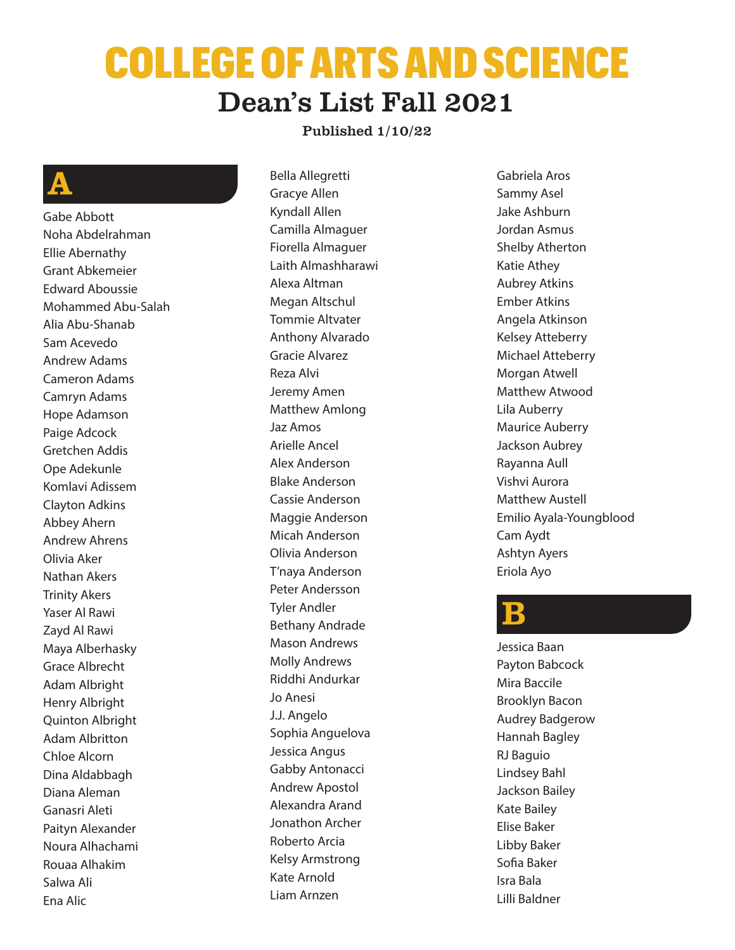# COLLEGE OF ARTS AND SCIENCE Dean's List Fall 2021

#### Published 1/10/22

# A

Gabe Abbott Noha Abdelrahman Ellie Abernathy Grant Abkemeier Edward Aboussie Mohammed Abu-Salah Alia Abu-Shanab Sam Acevedo Andrew Adams Cameron Adams Camryn Adams Hope Adamson Paige Adcock Gretchen Addis Ope Adekunle Komlavi Adissem Clayton Adkins Abbey Ahern Andrew Ahrens Olivia Aker Nathan Akers Trinity Akers Yaser Al Rawi Zayd Al Rawi Maya Alberhasky Grace Albrecht Adam Albright Henry Albright Quinton Albright Adam Albritton Chloe Alcorn Dina Aldabbagh Diana Aleman Ganasri Aleti Paityn Alexander Noura Alhachami Rouaa Alhakim Salwa Ali Ena Alic

Bella Allegretti Gracye Allen Kyndall Allen Camilla Almaguer Fiorella Almaguer Laith Almashharawi Alexa Altman Megan Altschul Tommie Altvater Anthony Alvarado Gracie Alvarez Reza Alvi Jeremy Amen Matthew Amlong Jaz Amos Arielle Ancel Alex Anderson Blake Anderson Cassie Anderson Maggie Anderson Micah Anderson Olivia Anderson T'naya Anderson Peter Andersson Tyler Andler Bethany Andrade Mason Andrews Molly Andrews Riddhi Andurkar Jo Anesi J.J. Angelo Sophia Anguelova Jessica Angus Gabby Antonacci Andrew Apostol Alexandra Arand Jonathon Archer Roberto Arcia Kelsy Armstrong Kate Arnold Liam Arnzen

Gabriela Aros Sammy Asel Jake Ashburn Jordan Asmus Shelby Atherton Katie Athey Aubrey Atkins Ember Atkins Angela Atkinson Kelsey Atteberry Michael Atteberry Morgan Atwell Matthew Atwood Lila Auberry Maurice Auberry Jackson Aubrey Rayanna Aull Vishvi Aurora Matthew Austell Emilio Ayala-Youngblood Cam Aydt Ashtyn Ayers Eriola Ayo

#### $\mathbf B$

Jessica Baan Payton Babcock Mira Baccile Brooklyn Bacon Audrey Badgerow Hannah Bagley RJ Baguio Lindsey Bahl Jackson Bailey Kate Bailey Elise Baker Libby Baker Sofia Baker Isra Bala Lilli Baldner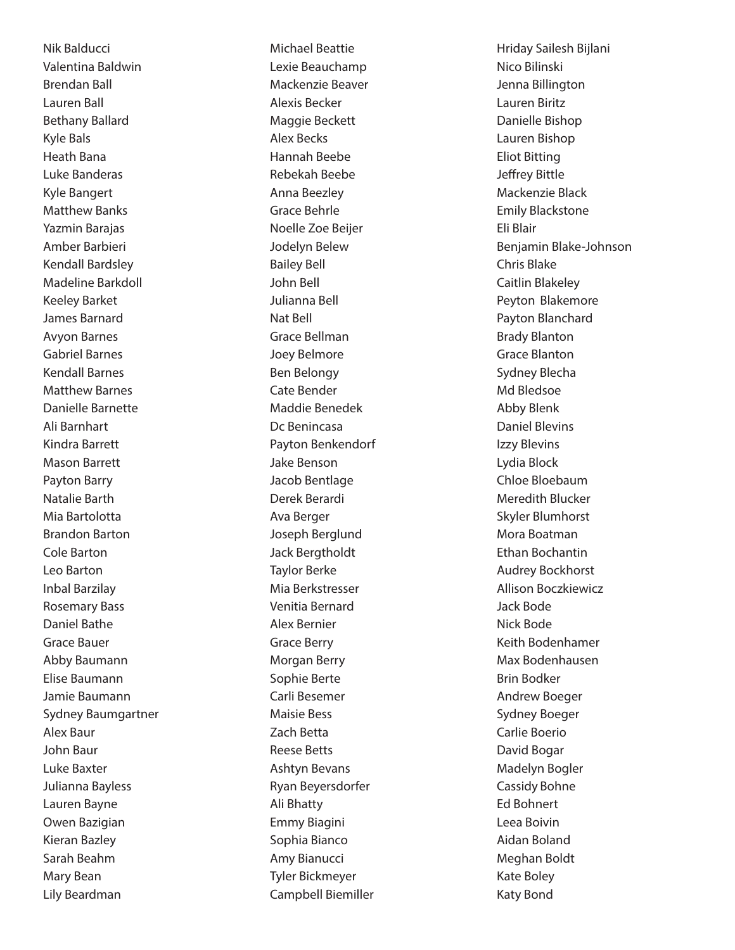Nik Balducci Valentina Baldwin Brendan Ball Lauren Ball Bethany Ballard Kyle Bals Heath Bana Luke Banderas Kyle Bangert Matthew Banks Yazmin Barajas Amber Barbieri Kendall Bardsley Madeline Barkdoll Keeley Barket James Barnard Avyon Barnes Gabriel Barnes Kendall Barnes Matthew Barnes Danielle Barnette Ali Barnhart Kindra Barrett Mason Barrett Payton Barry Natalie Barth Mia Bartolotta Brandon Barton Cole Barton Leo Barton Inbal Barzilay Rosemary Bass Daniel Bathe Grace Bauer Abby Baumann Elise Baumann Jamie Baumann Sydney Baumgartner Alex Baur John Baur Luke Baxter Julianna Bayless Lauren Bayne Owen Bazigian Kieran Bazley Sarah Beahm Mary Bean Lily Beardman

Michael Beattie Lexie Beauchamp Mackenzie Beaver Alexis Becker Maggie Beckett Alex Becks Hannah Beebe Rebekah Beebe Anna Beezley Grace Behrle Noelle Zoe Beijer Jodelyn Belew Bailey Bell John Bell Julianna Bell Nat Bell Grace Bellman Joey Belmore Ben Belongy Cate Bender Maddie Benedek Dc Benincasa Payton Benkendorf Jake Benson Jacob Bentlage Derek Berardi Ava Berger Joseph Berglund Jack Bergtholdt Taylor Berke Mia Berkstresser Venitia Bernard Alex Bernier Grace Berry Morgan Berry Sophie Berte Carli Besemer Maisie Bess Zach Betta Reese Betts Ashtyn Bevans Ryan Beyersdorfer Ali Bhatty Emmy Biagini Sophia Bianco Amy Bianucci Tyler Bickmeyer Campbell Biemiller

Hriday Sailesh Bijlani Nico Bilinski Jenna Billington Lauren Biritz Danielle Bishop Lauren Bishop Eliot Bitting Jeffrey Bittle Mackenzie Black Emily Blackstone Eli Blair Benjamin Blake-Johnson Chris Blake Caitlin Blakeley Peyton Blakemore Payton Blanchard Brady Blanton Grace Blanton Sydney Blecha Md Bledsoe Abby Blenk Daniel Blevins Izzy Blevins Lydia Block Chloe Bloebaum Meredith Blucker Skyler Blumhorst Mora Boatman Ethan Bochantin Audrey Bockhorst Allison Boczkiewicz Jack Bode Nick Bode Keith Bodenhamer Max Bodenhausen Brin Bodker Andrew Boeger Sydney Boeger Carlie Boerio David Bogar Madelyn Bogler Cassidy Bohne Ed Bohnert Leea Boivin Aidan Boland Meghan Boldt Kate Boley Katy Bond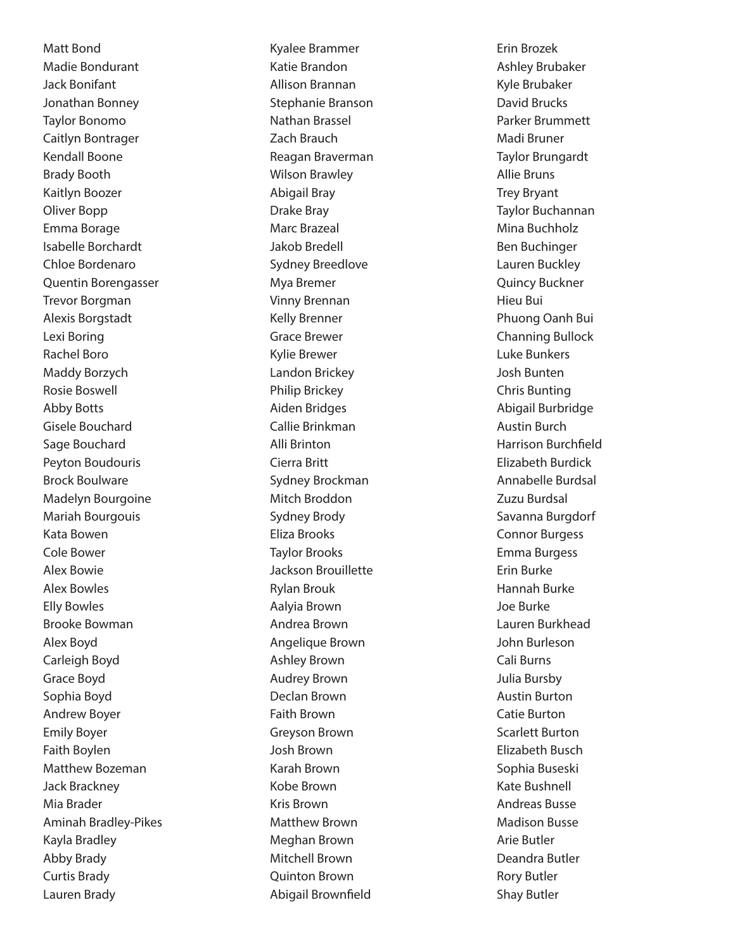Matt Bond Madie Bondurant Jack Bonifant Jonathan Bonney Taylor Bonomo Caitlyn Bontrager Kendall Boone Brady Booth Kaitlyn Boozer Oliver Bopp Emma Borage Isabelle Borchardt Chloe Bordenaro Quentin Borengasser Trevor Borgman Alexis Borgstadt Lexi Boring Rachel Boro Maddy Borzych Rosie Boswell Abby Botts Gisele Bouchard Sage Bouchard Peyton Boudouris Brock Boulware Madelyn Bourgoine Mariah Bourgouis Kata Bowen Cole Bower Alex Bowie Alex Bowles Elly Bowles Brooke Bowman Alex Boyd Carleigh Boyd Grace Boyd Sophia Boyd Andrew Boyer Emily Boyer Faith Boylen Matthew Bozeman Jack Brackney Mia Brader Aminah Bradley-Pikes Kayla Bradley Abby Brady Curtis Brady Lauren Brady

Kyalee Brammer Katie Brandon Allison Brannan Stephanie Branson Nathan Brassel Zach Brauch Reagan Braverman Wilson Brawley Abigail Bray Drake Bray Marc Brazeal Jakob Bredell Sydney Breedlove Mya Bremer Vinny Brennan Kelly Brenner Grace Brewer Kylie Brewer Landon Brickey Philip Brickey Aiden Bridges Callie Brinkman Alli Brinton Cierra Britt Sydney Brockman Mitch Broddon Sydney Brody Eliza Brooks Taylor Brooks Jackson Brouillette Rylan Brouk Aalyia Brown Andrea Brown Angelique Brown Ashley Brown Audrey Brown Declan Brown Faith Brown Greyson Brown Josh Brown Karah Brown Kobe Brown Kris Brown Matthew Brown Meghan Brown Mitchell Brown Quinton Brown Abigail Brownfield

Erin Brozek Ashley Brubaker Kyle Brubaker David Brucks Parker Brummett Madi Bruner Taylor Brungardt Allie Bruns Trey Bryant Taylor Buchannan Mina Buchholz Ben Buchinger Lauren Buckley Quincy Buckner Hieu Bui Phuong Oanh Bui Channing Bullock Luke Bunkers Josh Bunten Chris Bunting Abigail Burbridge Austin Burch Harrison Burchfield Elizabeth Burdick Annabelle Burdsal Zuzu Burdsal Savanna Burgdorf Connor Burgess Emma Burgess Erin Burke Hannah Burke Joe Burke Lauren Burkhead John Burleson Cali Burns Julia Bursby Austin Burton Catie Burton Scarlett Burton Elizabeth Busch Sophia Buseski Kate Bushnell Andreas Busse Madison Busse Arie Butler Deandra Butler Rory Butler Shay Butler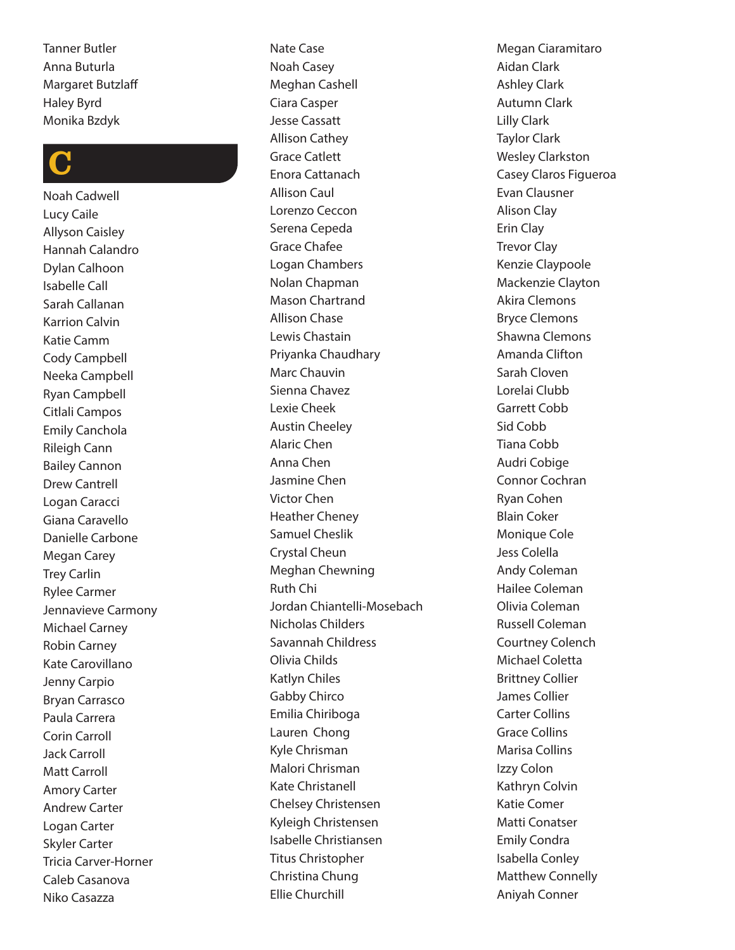Tanner Butler Anna Buturla Margaret Butzlaff Haley Byrd Monika Bzdyk

# C

Noah Cadwell Lucy Caile Allyson Caisley Hannah Calandro Dylan Calhoon Isabelle Call Sarah Callanan Karrion Calvin Katie Camm Cody Campbell Neeka Campbell Ryan Campbell Citlali Campos Emily Canchola Rileigh Cann Bailey Cannon Drew Cantrell Logan Caracci Giana Caravello Danielle Carbone Megan Carey Trey Carlin Rylee Carmer Jennavieve Carmony Michael Carney Robin Carney Kate Carovillano Jenny Carpio Bryan Carrasco Paula Carrera Corin Carroll Jack Carroll Matt Carroll Amory Carter Andrew Carter Logan Carter Skyler Carter Tricia Carver-Horner Caleb Casanova Niko Casazza

Nate Case Noah Casey Meghan Cashell Ciara Casper Jesse Cassatt Allison Cathey Grace Catlett Enora Cattanach Allison Caul Lorenzo Ceccon Serena Cepeda Grace Chafee Logan Chambers Nolan Chapman Mason Chartrand Allison Chase Lewis Chastain Priyanka Chaudhary Marc Chauvin Sienna Chavez Lexie Cheek Austin Cheeley Alaric Chen Anna Chen Jasmine Chen Victor Chen Heather Cheney Samuel Cheslik Crystal Cheun Meghan Chewning Ruth Chi Jordan Chiantelli-Mosebach Nicholas Childers Savannah Childress Olivia Childs Katlyn Chiles Gabby Chirco Emilia Chiriboga Lauren Chong Kyle Chrisman Malori Chrisman Kate Christanell Chelsey Christensen Kyleigh Christensen Isabelle Christiansen Titus Christopher Christina Chung Ellie Churchill

Megan Ciaramitaro Aidan Clark Ashley Clark Autumn Clark Lilly Clark Taylor Clark Wesley Clarkston Casey Claros Figueroa Evan Clausner Alison Clay Erin Clay Trevor Clay Kenzie Claypoole Mackenzie Clayton Akira Clemons Bryce Clemons Shawna Clemons Amanda Clifton Sarah Cloven Lorelai Clubb Garrett Cobb Sid Cobb Tiana Cobb Audri Cobige Connor Cochran Ryan Cohen Blain Coker Monique Cole Jess Colella Andy Coleman Hailee Coleman Olivia Coleman Russell Coleman Courtney Colench Michael Coletta Brittney Collier James Collier Carter Collins Grace Collins Marisa Collins Izzy Colon Kathryn Colvin Katie Comer Matti Conatser Emily Condra Isabella Conley Matthew Connelly Aniyah Conner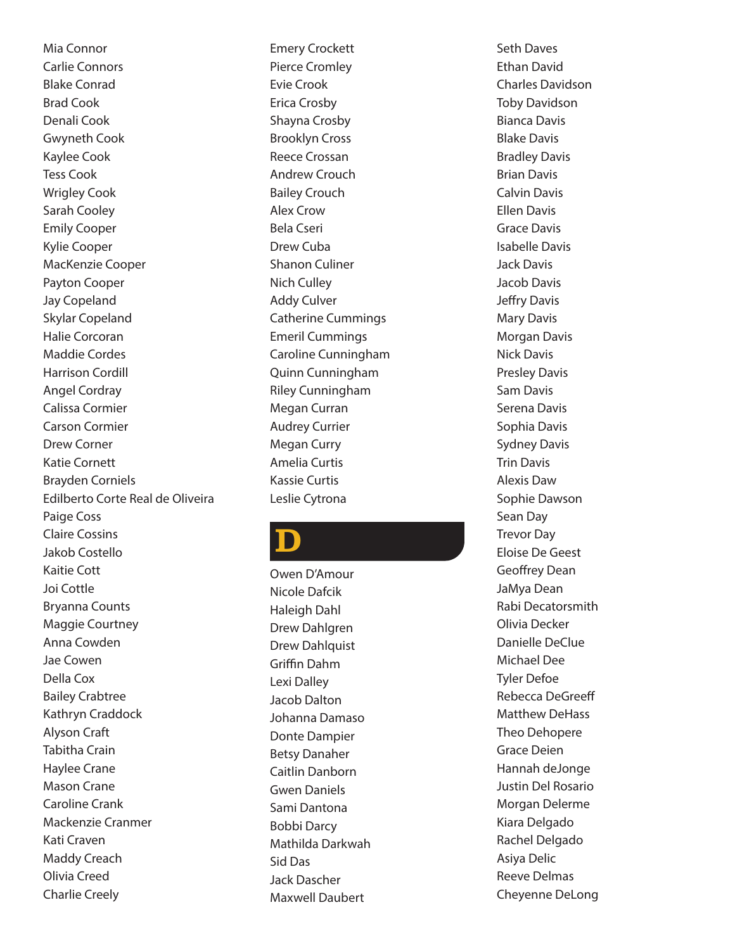Mia Connor Carlie Connors Blake Conrad Brad Cook Denali Cook Gwyneth Cook Kaylee Cook Tess Cook Wrigley Cook Sarah Cooley Emily Cooper Kylie Cooper MacKenzie Cooper Payton Cooper Jay Copeland Skylar Copeland Halie Corcoran Maddie Cordes Harrison Cordill Angel Cordray Calissa Cormier Carson Cormier Drew Corner Katie Cornett Brayden Corniels Edilberto Corte Real de Oliveira Paige Coss Claire Cossins Jakob Costello Kaitie Cott Joi Cottle Bryanna Counts Maggie Courtney Anna Cowden Jae Cowen Della Cox Bailey Crabtree Kathryn Craddock Alyson Craft Tabitha Crain Haylee Crane Mason Crane Caroline Crank Mackenzie Cranmer Kati Craven Maddy Creach Olivia Creed Charlie Creely

Emery Crockett Pierce Cromley Evie Crook Erica Crosby Shayna Crosby Brooklyn Cross Reece Crossan Andrew Crouch Bailey Crouch Alex Crow Bela Cseri Drew Cuba Shanon Culiner Nich Culley Addy Culver Catherine Cummings Emeril Cummings Caroline Cunningham Quinn Cunningham Riley Cunningham Megan Curran Audrey Currier Megan Curry Amelia Curtis Kassie Curtis Leslie Cytrona

# D

Owen D'Amour Nicole Dafcik Haleigh Dahl Drew Dahlgren Drew Dahlquist Griffin Dahm Lexi Dalley Jacob Dalton Johanna Damaso Donte Dampier Betsy Danaher Caitlin Danborn Gwen Daniels Sami Dantona Bobbi Darcy Mathilda Darkwah Sid Das Jack Dascher Maxwell Daubert

Seth Daves Ethan David Charles Davidson Toby Davidson Bianca Davis Blake Davis Bradley Davis Brian Davis Calvin Davis Ellen Davis Grace Davis Isabelle Davis Jack Davis Jacob Davis Jeffry Davis Mary Davis Morgan Davis Nick Davis Presley Davis Sam Davis Serena Davis Sophia Davis Sydney Davis Trin Davis Alexis Daw Sophie Dawson Sean Day Trevor Day Eloise De Geest Geoffrey Dean JaMya Dean Rabi Decatorsmith Olivia Decker Danielle DeClue Michael Dee Tyler Defoe Rebecca DeGreeff Matthew DeHass Theo Dehopere Grace Deien Hannah deJonge Justin Del Rosario Morgan Delerme Kiara Delgado Rachel Delgado Asiya Delic Reeve Delmas Cheyenne DeLong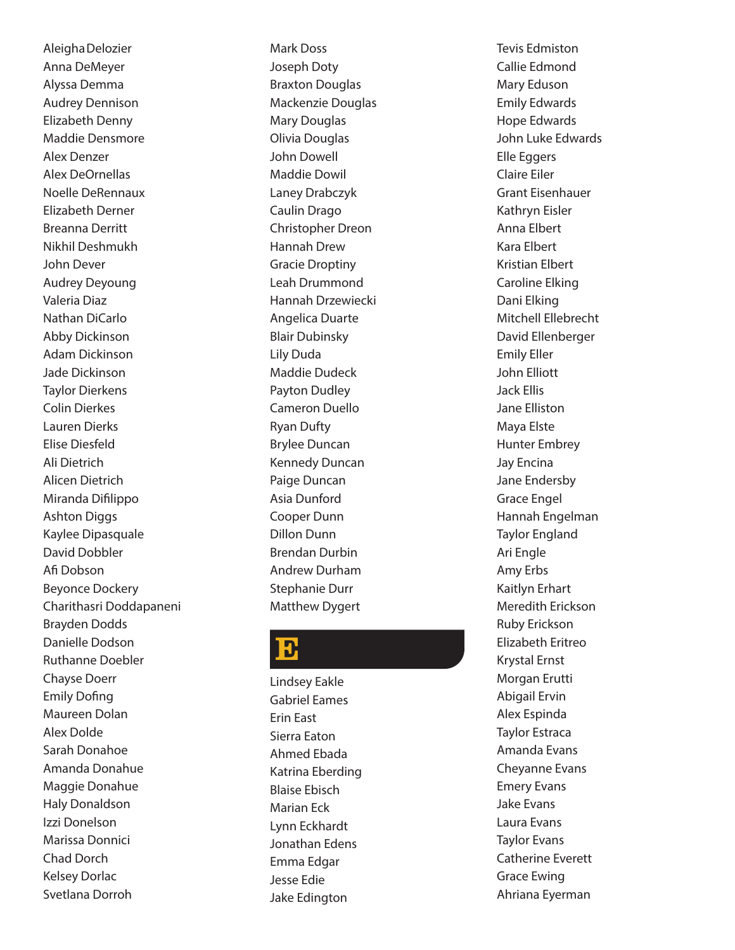AleighaDelozier Anna DeMeyer Alyssa Demma Audrey Dennison Elizabeth Denny Maddie Densmore Alex Denzer Alex DeOrnellas Noelle DeRennaux Elizabeth Derner Breanna Derritt Nikhil Deshmukh John Dever Audrey Deyoung Valeria Diaz Nathan DiCarlo Abby Dickinson Adam Dickinson Jade Dickinson Taylor Dierkens Colin Dierkes Lauren Dierks Elise Diesfeld Ali Dietrich Alicen Dietrich Miranda Difilippo Ashton Diggs Kaylee Dipasquale David Dobbler Afi Dobson Beyonce Dockery Charithasri Doddapaneni Brayden Dodds Danielle Dodson Ruthanne Doebler Chayse Doerr Emily Dofing Maureen Dolan Alex Dolde Sarah Donahoe Amanda Donahue Maggie Donahue Haly Donaldson Izzi Donelson Marissa Donnici Chad Dorch Kelsey Dorlac Svetlana Dorroh

Mark Doss Joseph Doty Braxton Douglas Mackenzie Douglas Mary Douglas Olivia Douglas John Dowell Maddie Dowil Laney Drabczyk Caulin Drago Christopher Dreon Hannah Drew Gracie Droptiny Leah Drummond Hannah Drzewiecki Angelica Duarte Blair Dubinsky Lily Duda Maddie Dudeck Payton Dudley Cameron Duello Ryan Dufty Brylee Duncan Kennedy Duncan Paige Duncan Asia Dunford Cooper Dunn Dillon Dunn Brendan Durbin Andrew Durham Stephanie Durr Matthew Dygert

#### $\bf{B}$

Lindsey Eakle Gabriel Eames Erin East Sierra Eaton Ahmed Ebada Katrina Eberding Blaise Ebisch Marian Eck Lynn Eckhardt Jonathan Edens Emma Edgar Jesse Edie Jake Edington

Tevis Edmiston Callie Edmond Mary Eduson Emily Edwards Hope Edwards John Luke Edwards Elle Eggers Claire Eiler Grant Eisenhauer Kathryn Eisler Anna Elbert Kara Elbert Kristian Elbert Caroline Elking Dani Elking Mitchell Ellebrecht David Ellenberger Emily Eller John Elliott Jack Ellis Jane Elliston Maya Elste Hunter Embrey Jay Encina Jane Endersby Grace Engel Hannah Engelman Taylor England Ari Engle Amy Erbs Kaitlyn Erhart Meredith Erickson Ruby Erickson Elizabeth Eritreo Krystal Ernst Morgan Erutti Abigail Ervin Alex Espinda Taylor Estraca Amanda Evans Cheyanne Evans Emery Evans Jake Evans Laura Evans Taylor Evans Catherine Everett Grace Ewing Ahriana Eyerman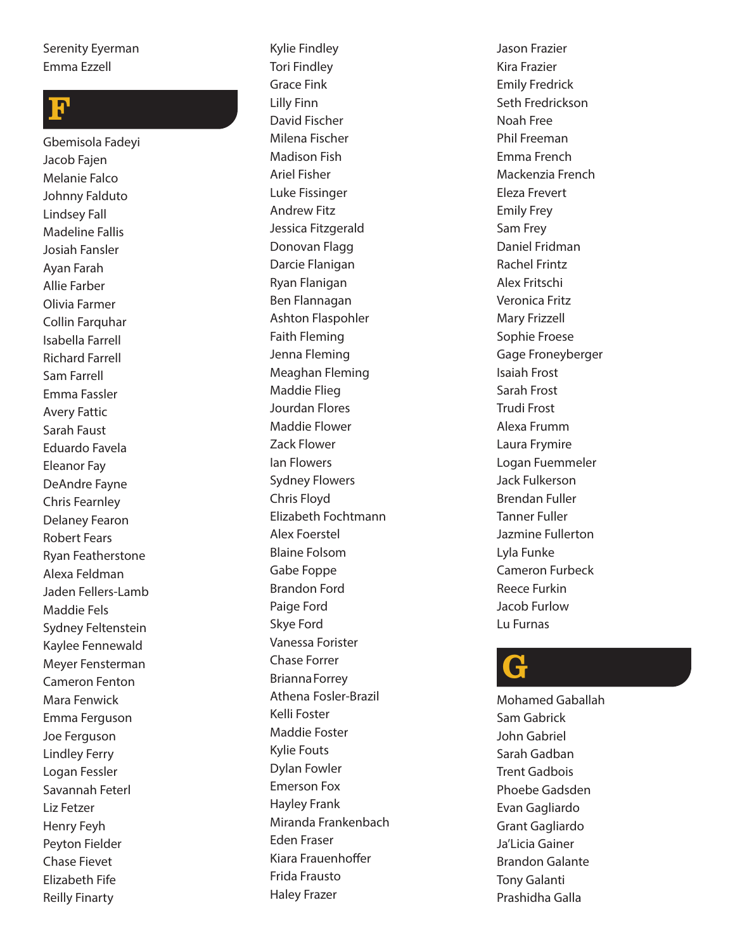#### Serenity Eyerman Emma Ezzell

# F

Gbemisola Fadeyi Jacob Fajen Melanie Falco Johnny Falduto Lindsey Fall Madeline Fallis Josiah Fansler Ayan Farah Allie Farber Olivia Farmer Collin Farquhar Isabella Farrell Richard Farrell Sam Farrell Emma Fassler Avery Fattic Sarah Faust Eduardo Favela Eleanor Fay DeAndre Fayne Chris Fearnley Delaney Fearon Robert Fears Ryan Featherstone Alexa Feldman Jaden Fellers-Lamb Maddie Fels Sydney Feltenstein Kaylee Fennewald Meyer Fensterman Cameron Fenton Mara Fenwick Emma Ferguson Joe Ferguson Lindley Ferry Logan Fessler Savannah Feterl Liz Fetzer Henry Feyh Peyton Fielder Chase Fievet Elizabeth Fife Reilly Finarty

Kylie Findley Tori Findley Grace Fink Lilly Finn David Fischer Milena Fischer Madison Fish Ariel Fisher Luke Fissinger Andrew Fitz Jessica Fitzgerald Donovan Flagg Darcie Flanigan Ryan Flanigan Ben Flannagan Ashton Flaspohler Faith Fleming Jenna Fleming Meaghan Fleming Maddie Flieg Jourdan Flores Maddie Flower Zack Flower Ian Flowers Sydney Flowers Chris Floyd Elizabeth Fochtmann Alex Foerstel Blaine Folsom Gabe Foppe Brandon Ford Paige Ford Skye Ford Vanessa Forister Chase Forrer BriannaForrey Athena Fosler-Brazil Kelli Foster Maddie Foster Kylie Fouts Dylan Fowler Emerson Fox Hayley Frank Miranda Frankenbach Eden Fraser Kiara Frauenhoffer Frida Frausto Haley Frazer

Jason Frazier Kira Frazier Emily Fredrick Seth Fredrickson Noah Free Phil Freeman Emma French Mackenzia French Eleza Frevert Emily Frey Sam Frey Daniel Fridman Rachel Frintz Alex Fritschi Veronica Fritz Mary Frizzell Sophie Froese Gage Froneyberger Isaiah Frost Sarah Frost Trudi Frost Alexa Frumm Laura Frymire Logan Fuemmeler Jack Fulkerson Brendan Fuller Tanner Fuller Jazmine Fullerton Lyla Funke Cameron Furbeck Reece Furkin Jacob Furlow Lu Furnas

# G

Mohamed Gaballah Sam Gabrick John Gabriel Sarah Gadban Trent Gadbois Phoebe Gadsden Evan Gagliardo Grant Gagliardo Ja'Licia Gainer Brandon Galante Tony Galanti Prashidha Galla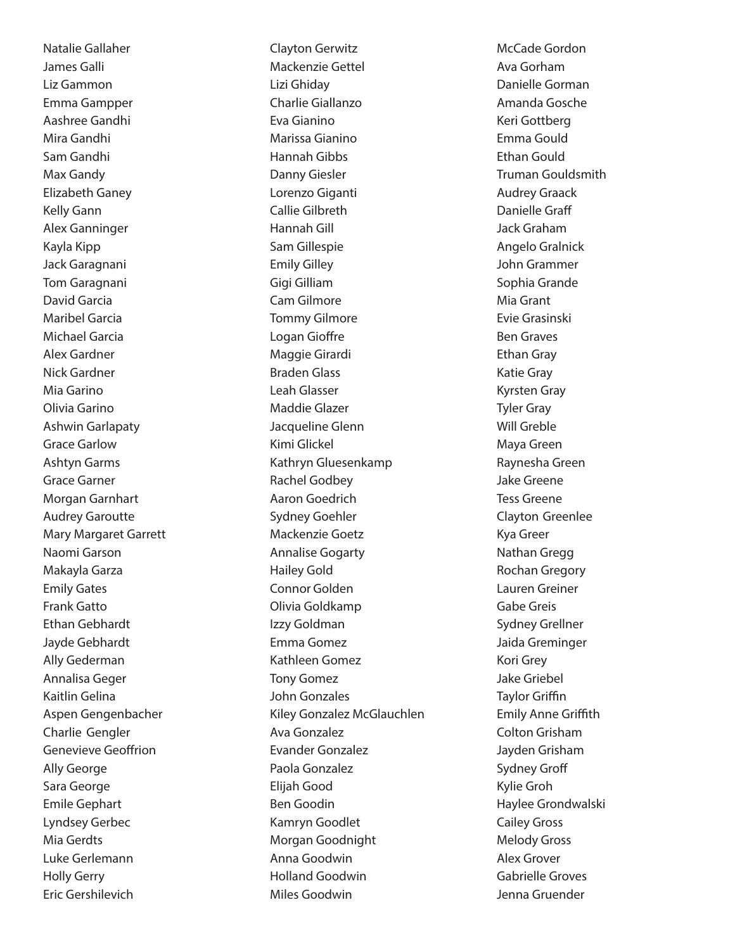Natalie Gallaher James Galli Liz Gammon Emma Gampper Aashree Gandhi Mira Gandhi Sam Gandhi Max Gandy Elizabeth Ganey Kelly Gann Alex Ganninger Kayla Kipp Jack Garagnani Tom Garagnani David Garcia Maribel Garcia Michael Garcia Alex Gardner Nick Gardner Mia Garino Olivia Garino Ashwin Garlapaty Grace Garlow Ashtyn Garms Grace Garner Morgan Garnhart Audrey Garoutte Mary Margaret Garrett Naomi Garson Makayla Garza Emily Gates Frank Gatto Ethan Gebhardt Jayde Gebhardt Ally Gederman Annalisa Geger Kaitlin Gelina Aspen Gengenbacher Charlie Gengler Genevieve Geoffrion Ally George Sara George Emile Gephart Lyndsey Gerbec Mia Gerdts Luke Gerlemann Holly Gerry Eric Gershilevich

Clayton Gerwitz Mackenzie Gettel Lizi Ghiday Charlie Giallanzo Eva Gianino Marissa Gianino Hannah Gibbs Danny Giesler Lorenzo Giganti Callie Gilbreth Hannah Gill Sam Gillespie Emily Gilley Gigi Gilliam Cam Gilmore Tommy Gilmore Logan Gioffre Maggie Girardi Braden Glass Leah Glasser Maddie Glazer Jacqueline Glenn Kimi Glickel Kathryn Gluesenkamp Rachel Godbey Aaron Goedrich Sydney Goehler Mackenzie Goetz Annalise Gogarty Hailey Gold Connor Golden Olivia Goldkamp Izzy Goldman Emma Gomez Kathleen Gomez Tony Gomez John Gonzales Kiley Gonzalez McGlauchlen Ava Gonzalez Evander Gonzalez Paola Gonzalez Elijah Good Ben Goodin Kamryn Goodlet Morgan Goodnight Anna Goodwin Holland Goodwin Miles Goodwin

McCade Gordon Ava Gorham Danielle Gorman Amanda Gosche Keri Gottberg Emma Gould Ethan Gould Truman Gouldsmith Audrey Graack Danielle Graff Jack Graham Angelo Gralnick John Grammer Sophia Grande Mia Grant Evie Grasinski Ben Graves Ethan Gray Katie Gray Kyrsten Gray Tyler Gray Will Greble Maya Green Raynesha Green Jake Greene Tess Greene Clayton Greenlee Kya Greer Nathan Gregg Rochan Gregory Lauren Greiner Gabe Greis Sydney Grellner Jaida Greminger Kori Grey Jake Griebel Taylor Griffin Emily Anne Griffith Colton Grisham Jayden Grisham Sydney Groff Kylie Groh Haylee Grondwalski Cailey Gross Melody Gross Alex Grover Gabrielle Groves Jenna Gruender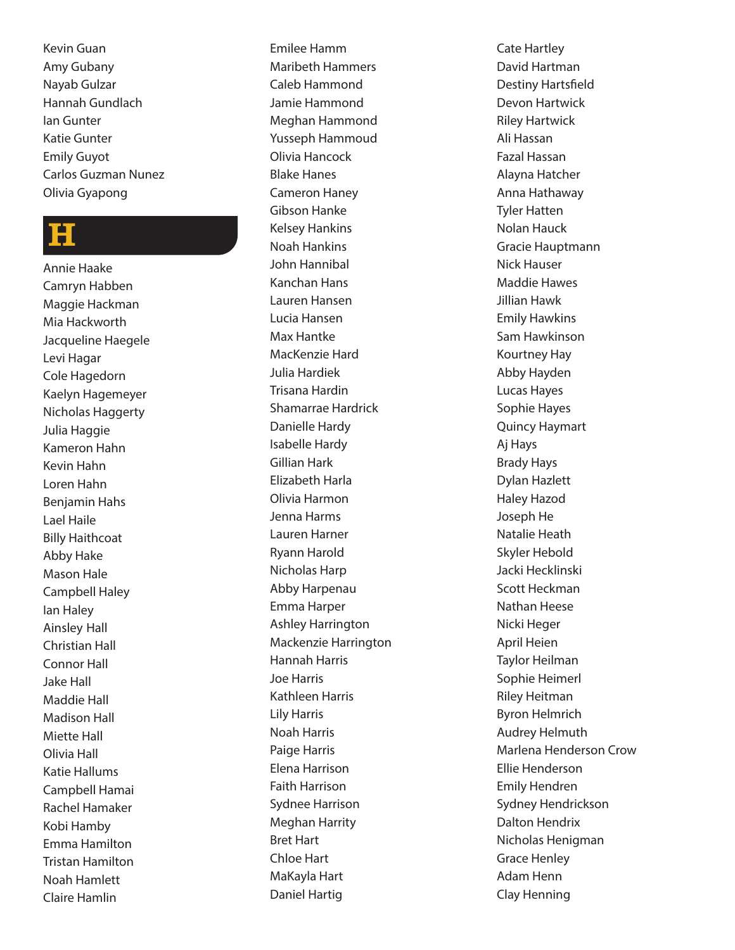Kevin Guan Amy Gubany Nayab Gulzar Hannah Gundlach Ian Gunter Katie Gunter Emily Guyot Carlos Guzman Nunez Olivia Gyapong

#### H

Annie Haake Camryn Habben Maggie Hackman Mia Hackworth Jacqueline Haegele Levi Hagar Cole Hagedorn Kaelyn Hagemeyer Nicholas Haggerty Julia Haggie Kameron Hahn Kevin Hahn Loren Hahn Benjamin Hahs Lael Haile Billy Haithcoat Abby Hake Mason Hale Campbell Haley Ian Haley Ainsley Hall Christian Hall Connor Hall Jake Hall Maddie Hall Madison Hall Miette Hall Olivia Hall Katie Hallums Campbell Hamai Rachel Hamaker Kobi Hamby Emma Hamilton Tristan Hamilton Noah Hamlett Claire Hamlin

Emilee Hamm Maribeth Hammers Caleb Hammond Jamie Hammond Meghan Hammond Yusseph Hammoud Olivia Hancock Blake Hanes Cameron Haney Gibson Hanke Kelsey Hankins Noah Hankins John Hannibal Kanchan Hans Lauren Hansen Lucia Hansen Max Hantke MacKenzie Hard Julia Hardiek Trisana Hardin Shamarrae Hardrick Danielle Hardy Isabelle Hardy Gillian Hark Elizabeth Harla Olivia Harmon Jenna Harms Lauren Harner Ryann Harold Nicholas Harp Abby Harpenau Emma Harper Ashley Harrington Mackenzie Harrington Hannah Harris Joe Harris Kathleen Harris Lily Harris Noah Harris Paige Harris Elena Harrison Faith Harrison Sydnee Harrison Meghan Harrity Bret Hart Chloe Hart MaKayla Hart Daniel Hartig

Cate Hartley David Hartman Destiny Hartsfield Devon Hartwick Riley Hartwick Ali Hassan Fazal Hassan Alayna Hatcher Anna Hathaway Tyler Hatten Nolan Hauck Gracie Hauptmann Nick Hauser Maddie Hawes Jillian Hawk Emily Hawkins Sam Hawkinson Kourtney Hay Abby Hayden Lucas Hayes Sophie Hayes Quincy Haymart Aj Hays Brady Hays Dylan Hazlett Haley Hazod Joseph He Natalie Heath Skyler Hebold Jacki Hecklinski Scott Heckman Nathan Heese Nicki Heger April Heien Taylor Heilman Sophie Heimerl Riley Heitman Byron Helmrich Audrey Helmuth Marlena Henderson Crow Ellie Henderson Emily Hendren Sydney Hendrickson Dalton Hendrix Nicholas Henigman Grace Henley Adam Henn Clay Henning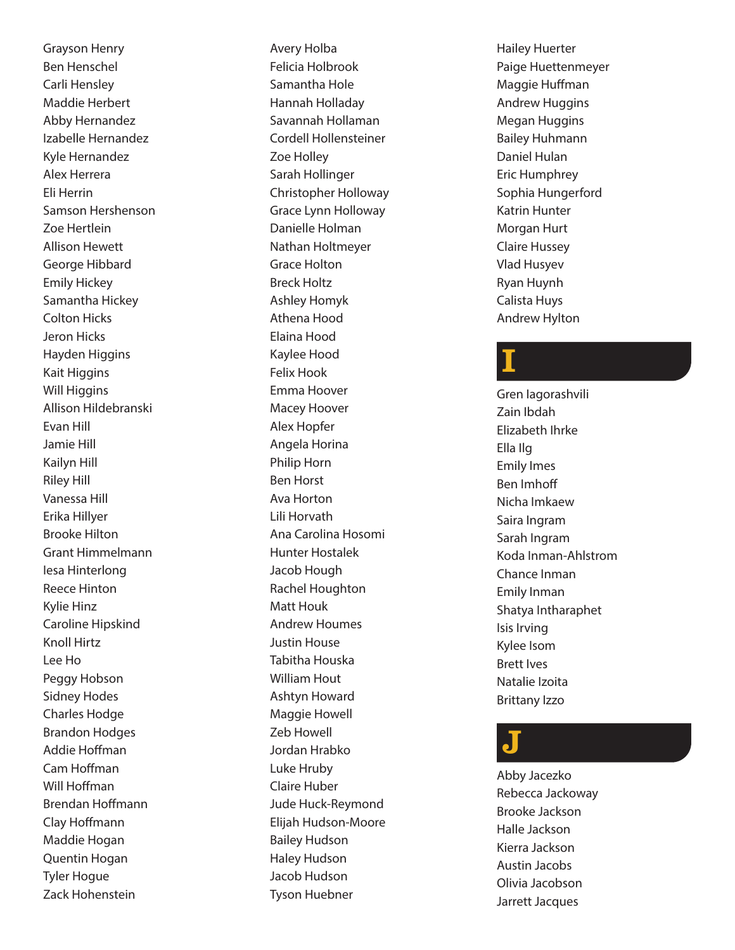Grayson Henry Ben Henschel Carli Hensley Maddie Herbert Abby Hernandez Izabelle Hernandez Kyle Hernandez Alex Herrera Eli Herrin Samson Hershenson Zoe Hertlein Allison Hewett George Hibbard Emily Hickey Samantha Hickey Colton Hicks Jeron Hicks Hayden Higgins Kait Higgins Will Higgins Allison Hildebranski Evan Hill Jamie Hill Kailyn Hill Riley Hill Vanessa Hill Erika Hillyer Brooke Hilton Grant Himmelmann Iesa Hinterlong Reece Hinton Kylie Hinz Caroline Hipskind Knoll Hirtz Lee Ho Peggy Hobson Sidney Hodes Charles Hodge Brandon Hodges Addie Hoffman Cam Hoffman Will Hoffman Brendan Hoffmann Clay Hoffmann Maddie Hogan Quentin Hogan Tyler Hogue Zack Hohenstein

Avery Holba Felicia Holbrook Samantha Hole Hannah Holladay Savannah Hollaman Cordell Hollensteiner Zoe Holley Sarah Hollinger Christopher Holloway Grace Lynn Holloway Danielle Holman Nathan Holtmeyer Grace Holton Breck Holtz Ashley Homyk Athena Hood Elaina Hood Kaylee Hood Felix Hook Emma Hoover Macey Hoover Alex Hopfer Angela Horina Philip Horn Ben Horst Ava Horton Lili Horvath Ana Carolina Hosomi Hunter Hostalek Jacob Hough Rachel Houghton Matt Houk Andrew Houmes Justin House Tabitha Houska William Hout Ashtyn Howard Maggie Howell Zeb Howell Jordan Hrabko Luke Hruby Claire Huber Jude Huck-Reymond Elijah Hudson-Moore Bailey Hudson Haley Hudson Jacob Hudson Tyson Huebner

Hailey Huerter Paige Huettenmeyer Maggie Huffman Andrew Huggins Megan Huggins Bailey Huhmann Daniel Hulan Eric Humphrey Sophia Hungerford Katrin Hunter Morgan Hurt Claire Hussey Vlad Husyev Ryan Huynh Calista Huys Andrew Hylton

# I

Gren Iagorashvili Zain Ibdah Elizabeth Ihrke Ella Ilg Emily Imes Ben Imhoff Nicha Imkaew Saira Ingram Sarah Ingram Koda Inman-Ahlstrom Chance Inman Emily Inman Shatya Intharaphet Isis Irving Kylee Isom Brett Ives Natalie Izoita Brittany Izzo

# J

Abby Jacezko Rebecca Jackoway Brooke Jackson Halle Jackson Kierra Jackson Austin Jacobs Olivia Jacobson Jarrett Jacques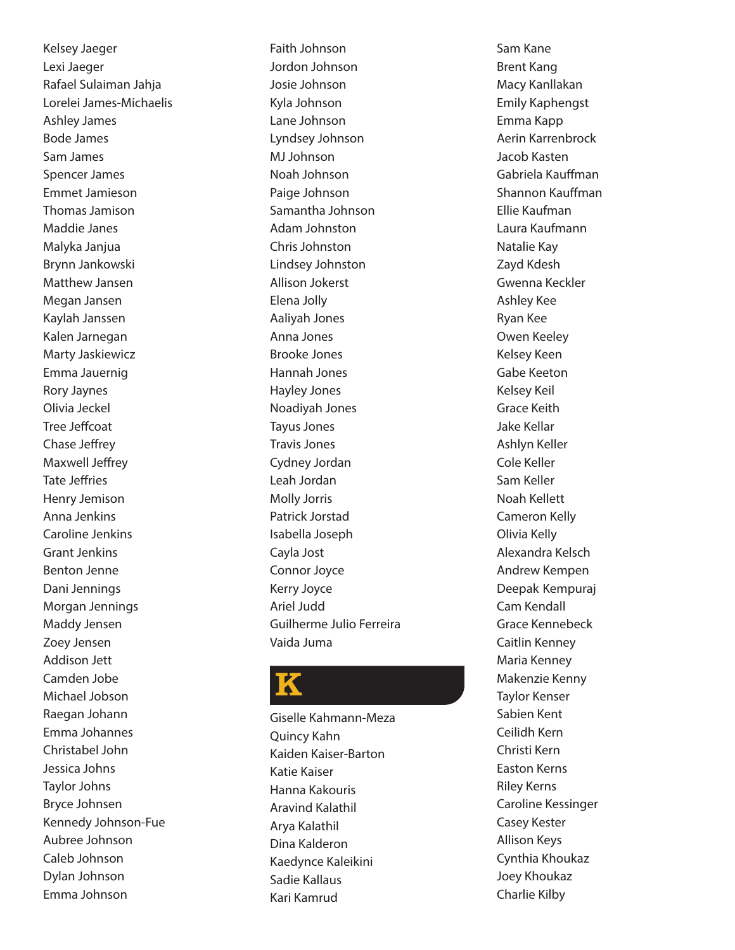Kelsey Jaeger Lexi Jaeger Rafael Sulaiman Jahja Lorelei James-Michaelis Ashley James Bode James Sam James Spencer James Emmet Jamieson Thomas Jamison Maddie Janes Malyka Janjua Brynn Jankowski Matthew Jansen Megan Jansen Kaylah Janssen Kalen Jarnegan Marty Jaskiewicz Emma Jauernig Rory Jaynes Olivia Jeckel Tree Jeffcoat Chase Jeffrey Maxwell Jeffrey Tate Jeffries Henry Jemison Anna Jenkins Caroline Jenkins Grant Jenkins Benton Jenne Dani Jennings Morgan Jennings Maddy Jensen Zoey Jensen Addison Jett Camden Jobe Michael Jobson Raegan Johann Emma Johannes Christabel John Jessica Johns Taylor Johns Bryce Johnsen Kennedy Johnson-Fue Aubree Johnson Caleb Johnson Dylan Johnson Emma Johnson

Faith Johnson Jordon Johnson Josie Johnson Kyla Johnson Lane Johnson Lyndsey Johnson MJ Johnson Noah Johnson Paige Johnson Samantha Johnson Adam Johnston Chris Johnston Lindsey Johnston Allison Jokerst Elena Jolly Aaliyah Jones Anna Jones Brooke Jones Hannah Jones Hayley Jones Noadiyah Jones Tayus Jones Travis Jones Cydney Jordan Leah Jordan Molly Jorris Patrick Jorstad Isabella Joseph Cayla Jost Connor Joyce Kerry Joyce Ariel Judd Guilherme Julio Ferreira Vaida Juma

# K

Giselle Kahmann-Meza Quincy Kahn Kaiden Kaiser-Barton Katie Kaiser Hanna Kakouris Aravind Kalathil Arya Kalathil Dina Kalderon Kaedynce Kaleikini Sadie Kallaus Kari Kamrud

Sam Kane Brent Kang Macy Kanllakan Emily Kaphengst Emma Kapp Aerin Karrenbrock Jacob Kasten Gabriela Kauffman Shannon Kauffman Ellie Kaufman Laura Kaufmann Natalie Kay Zayd Kdesh Gwenna Keckler Ashley Kee Ryan Kee Owen Keeley Kelsey Keen Gabe Keeton Kelsey Keil Grace Keith Jake Kellar Ashlyn Keller Cole Keller Sam Keller Noah Kellett Cameron Kelly Olivia Kelly Alexandra Kelsch Andrew Kempen Deepak Kempuraj Cam Kendall Grace Kennebeck Caitlin Kenney Maria Kenney Makenzie Kenny Taylor Kenser Sabien Kent Ceilidh Kern Christi Kern Easton Kerns Riley Kerns Caroline Kessinger Casey Kester Allison Keys Cynthia Khoukaz Joey Khoukaz Charlie Kilby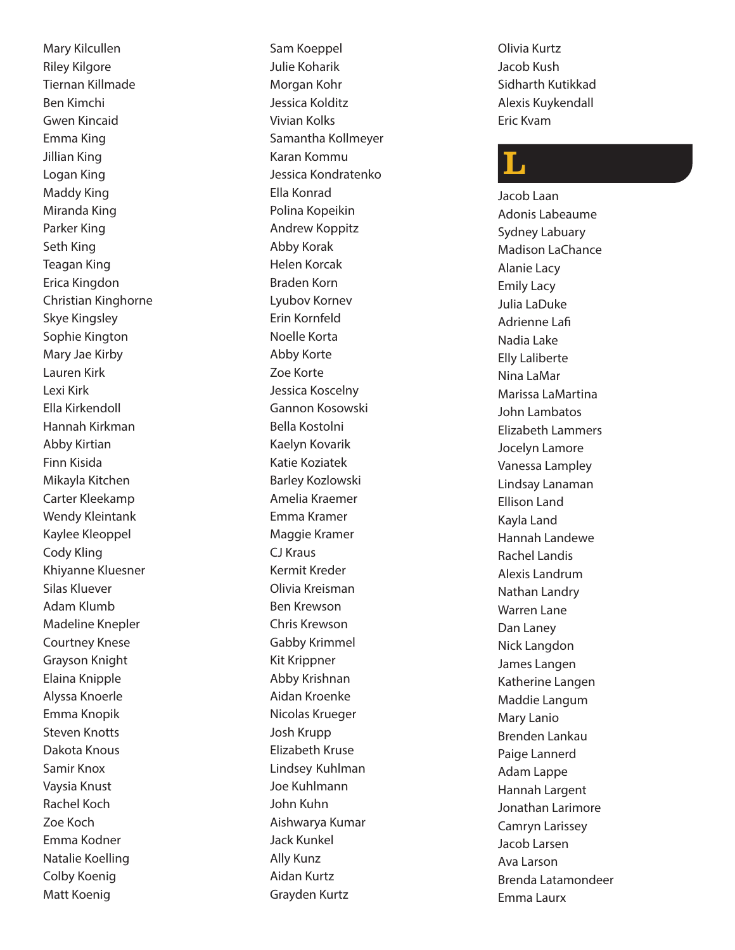Mary Kilcullen Riley Kilgore Tiernan Killmade Ben Kimchi Gwen Kincaid Emma King Jillian King Logan King Maddy King Miranda King Parker King Seth King Teagan King Erica Kingdon Christian Kinghorne Skye Kingsley Sophie Kington Mary Jae Kirby Lauren Kirk Lexi Kirk Ella Kirkendoll Hannah Kirkman Abby Kirtian Finn Kisida Mikayla Kitchen Carter Kleekamp Wendy Kleintank Kaylee Kleoppel Cody Kling Khiyanne Kluesner Silas Kluever Adam Klumb Madeline Knepler Courtney Knese Grayson Knight Elaina Knipple Alyssa Knoerle Emma Knopik Steven Knotts Dakota Knous Samir Knox Vaysia Knust Rachel Koch Zoe Koch Emma Kodner Natalie Koelling Colby Koenig Matt Koenig

Sam Koeppel Julie Koharik Morgan Kohr Jessica Kolditz Vivian Kolks Samantha Kollmeyer Karan Kommu Jessica Kondratenko Ella Konrad Polina Kopeikin Andrew Koppitz Abby Korak Helen Korcak Braden Korn Lyubov Kornev Erin Kornfeld Noelle Korta Abby Korte Zoe Korte Jessica Koscelny Gannon Kosowski Bella Kostolni Kaelyn Kovarik Katie Koziatek Barley Kozlowski Amelia Kraemer Emma Kramer Maggie Kramer CJ Kraus Kermit Kreder Olivia Kreisman Ben Krewson Chris Krewson Gabby Krimmel Kit Krippner Abby Krishnan Aidan Kroenke Nicolas Krueger Josh Krupp Elizabeth Kruse Lindsey Kuhlman Joe Kuhlmann John Kuhn Aishwarya Kumar Jack Kunkel Ally Kunz Aidan Kurtz Grayden Kurtz

Olivia Kurtz Jacob Kush Sidharth Kutikkad Alexis Kuykendall Eric Kvam

# L

Jacob Laan Adonis Labeaume Sydney Labuary Madison LaChance Alanie Lacy Emily Lacy Julia LaDuke Adrienne Lafi Nadia Lake Elly Laliberte Nina LaMar Marissa LaMartina John Lambatos Elizabeth Lammers Jocelyn Lamore Vanessa Lampley Lindsay Lanaman Ellison Land Kayla Land Hannah Landewe Rachel Landis Alexis Landrum Nathan Landry Warren Lane Dan Laney Nick Langdon James Langen Katherine Langen Maddie Langum Mary Lanio Brenden Lankau Paige Lannerd Adam Lappe Hannah Largent Jonathan Larimore Camryn Larissey Jacob Larsen Ava Larson Brenda Latamondeer Emma Laurx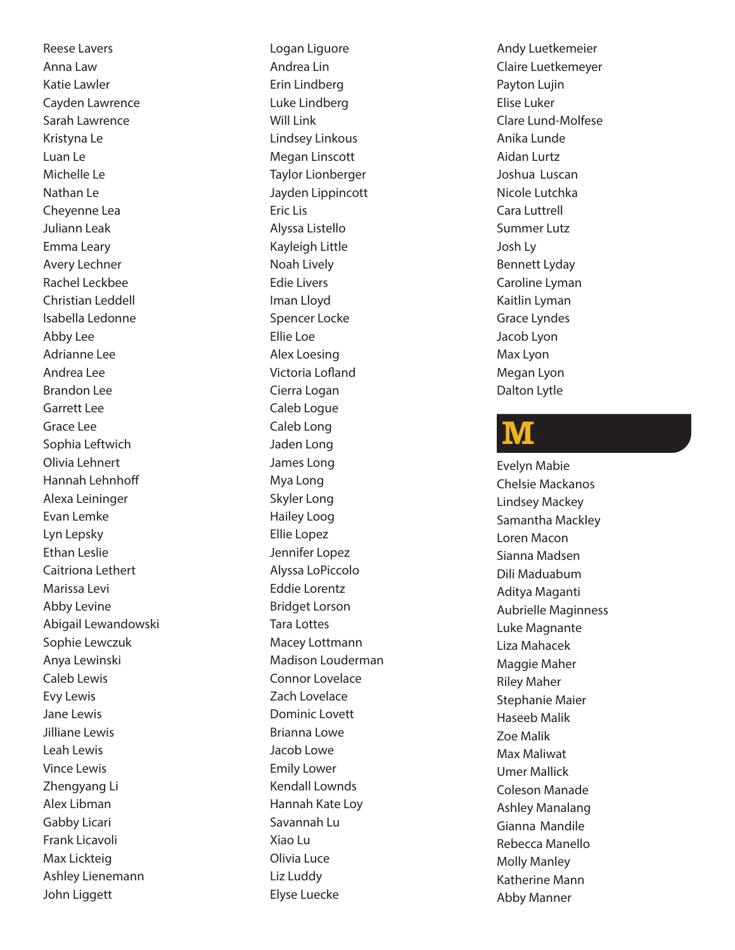Reese Lavers Anna Law Katie Lawler Cayden Lawrence Sarah Lawrence Kristyna Le Luan Le Michelle Le Nathan Le Cheyenne Lea Juliann Leak Emma Leary Avery Lechner Rachel Leckbee Christian Leddell Isabella Ledonne Abby Lee Adrianne Lee Andrea Lee Brandon Lee Garrett Lee Grace Lee Sophia Leftwich Olivia Lehnert Hannah Lehnhoff Alexa Leininger Evan Lemke Lyn Lepsky Ethan Leslie Caitriona Lethert Marissa Levi Abby Levine Abigail Lewandowski Sophie Lewczuk Anya Lewinski Caleb Lewis Evy Lewis Jane Lewis Jilliane Lewis Leah Lewis Vince Lewis Zhengyang Li Alex Libman Gabby Licari Frank Licavoli Max Lickteig Ashley Lienemann John Liggett

Logan Liguore Andrea Lin Erin Lindberg Luke Lindberg Will Link Lindsey Linkous Megan Linscott Taylor Lionberger Jayden Lippincott Eric Lis Alyssa Listello Kayleigh Little Noah Lively Edie Livers Iman Lloyd Spencer Locke Ellie Loe Alex Loesing Victoria Lofland Cierra Logan Caleb Logue Caleb Long Jaden Long James Long Mya Long Skyler Long Hailey Loog Ellie Lopez Jennifer Lopez Alyssa LoPiccolo Eddie Lorentz Bridget Lorson Tara Lottes Macey Lottmann Madison Louderman Connor Lovelace Zach Lovelace Dominic Lovett Brianna Lowe Jacob Lowe Emily Lower Kendall Lownds Hannah Kate Loy Savannah Lu Xiao Lu Olivia Luce Liz Luddy Elyse Luecke

Andy Luetkemeier Claire Luetkemeyer Payton Lujin Elise Luker Clare Lund-Molfese Anika Lunde Aidan Lurtz Joshua Luscan Nicole Lutchka Cara Luttrell Summer Lutz Josh Ly Bennett Lyday Caroline Lyman Kaitlin Lyman Grace Lyndes Jacob Lyon Max Lyon Megan Lyon Dalton Lytle

# M

Evelyn Mabie Chelsie Mackanos Lindsey Mackey Samantha Mackley Loren Macon Sianna Madsen Dili Maduabum Aditya Maganti Aubrielle Maginness Luke Magnante Liza Mahacek Maggie Maher Riley Maher Stephanie Maier Haseeb Malik Zoe Malik Max Maliwat Umer Mallick Coleson Manade Ashley Manalang Gianna Mandile Rebecca Manello Molly Manley Katherine Mann Abby Manner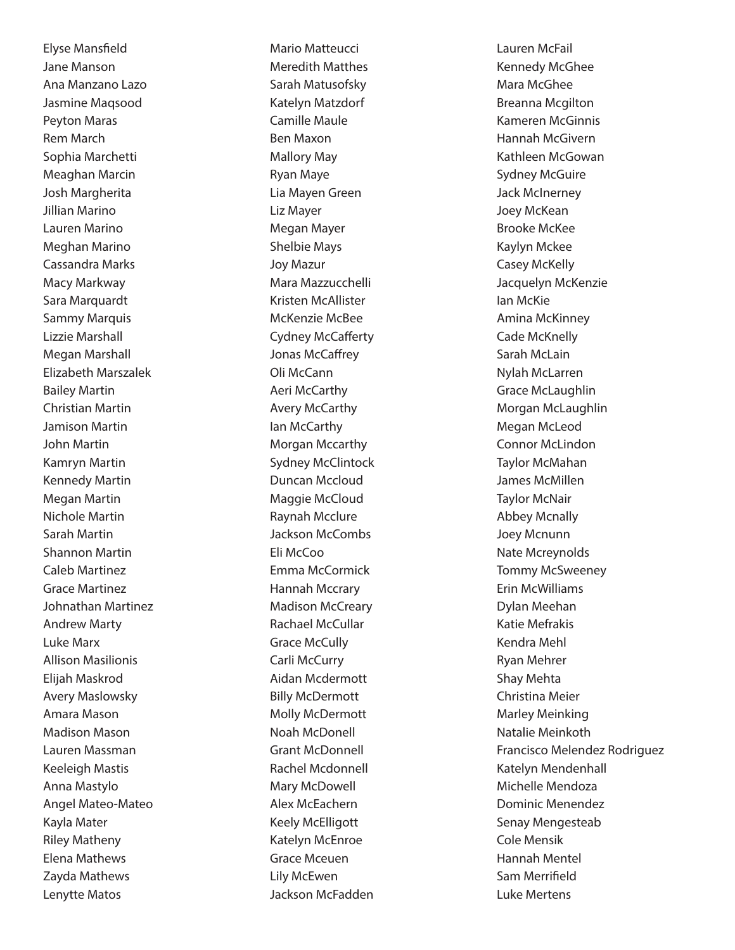Elyse Mansfield Jane Manson Ana Manzano Lazo Jasmine Maqsood Peyton Maras Rem March Sophia Marchetti Meaghan Marcin Josh Margherita Jillian Marino Lauren Marino Meghan Marino Cassandra Marks Macy Markway Sara Marquardt Sammy Marquis Lizzie Marshall Megan Marshall Elizabeth Marszalek Bailey Martin Christian Martin Jamison Martin John Martin Kamryn Martin Kennedy Martin Megan Martin Nichole Martin Sarah Martin Shannon Martin Caleb Martinez Grace Martinez Johnathan Martinez Andrew Marty Luke Marx Allison Masilionis Elijah Maskrod Avery Maslowsky Amara Mason Madison Mason Lauren Massman Keeleigh Mastis Anna Mastylo Angel Mateo-Mateo Kayla Mater Riley Matheny Elena Mathews Zayda Mathews Lenytte Matos

Mario Matteucci Meredith Matthes Sarah Matusofsky Katelyn Matzdorf Camille Maule Ben Maxon Mallory May Ryan Maye Lia Mayen Green Liz Mayer Megan Mayer Shelbie Mays Joy Mazur Mara Mazzucchelli Kristen McAllister McKenzie McBee Cydney McCafferty Jonas McCaffrey Oli McCann Aeri McCarthy Avery McCarthy Ian McCarthy Morgan Mccarthy Sydney McClintock Duncan Mccloud Maggie McCloud Raynah Mcclure Jackson McCombs Eli McCoo Emma McCormick Hannah Mccrary Madison McCreary Rachael McCullar Grace McCully Carli McCurry Aidan Mcdermott Billy McDermott Molly McDermott Noah McDonell Grant McDonnell Rachel Mcdonnell Mary McDowell Alex McEachern Keely McElligott Katelyn McEnroe Grace Mceuen Lily McEwen Jackson McFadden

Lauren McFail Kennedy McGhee Mara McGhee Breanna Mcgilton Kameren McGinnis Hannah McGivern Kathleen McGowan Sydney McGuire Jack McInerney Joey McKean Brooke McKee Kaylyn Mckee Casey McKelly Jacquelyn McKenzie Ian McKie Amina McKinney Cade McKnelly Sarah McLain Nylah McLarren Grace McLaughlin Morgan McLaughlin Megan McLeod Connor McLindon Taylor McMahan James McMillen Taylor McNair Abbey Mcnally Joey Mcnunn Nate Mcreynolds Tommy McSweeney Erin McWilliams Dylan Meehan Katie Mefrakis Kendra Mehl Ryan Mehrer Shay Mehta Christina Meier Marley Meinking Natalie Meinkoth Francisco Melendez Rodriguez Katelyn Mendenhall Michelle Mendoza Dominic Menendez Senay Mengesteab Cole Mensik Hannah Mentel Sam Merrifield Luke Mertens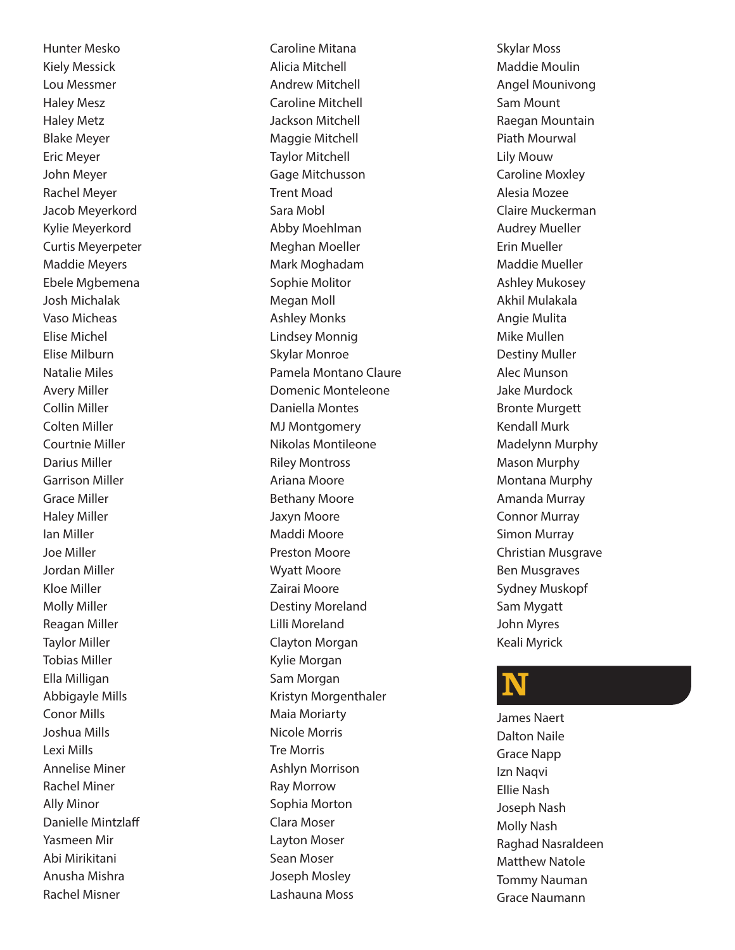Hunter Mesko Kiely Messick Lou Messmer Haley Mesz Haley Metz Blake Meyer Eric Meyer John Meyer Rachel Meyer Jacob Meyerkord Kylie Meyerkord Curtis Meyerpeter Maddie Meyers Ebele Mgbemena Josh Michalak Vaso Micheas Elise Michel Elise Milburn Natalie Miles Avery Miller Collin Miller Colten Miller Courtnie Miller Darius Miller Garrison Miller Grace Miller Haley Miller Ian Miller Joe Miller Jordan Miller Kloe Miller Molly Miller Reagan Miller Taylor Miller Tobias Miller Ella Milligan Abbigayle Mills Conor Mills Joshua Mills Lexi Mills Annelise Miner Rachel Miner Ally Minor Danielle Mintzlaff Yasmeen Mir Abi Mirikitani Anusha Mishra Rachel Misner

Caroline Mitana Alicia Mitchell Andrew Mitchell Caroline Mitchell Jackson Mitchell Maggie Mitchell Taylor Mitchell Gage Mitchusson Trent Moad Sara Mobl Abby Moehlman Meghan Moeller Mark Moghadam Sophie Molitor Megan Moll Ashley Monks Lindsey Monnig Skylar Monroe Pamela Montano Claure Domenic Monteleone Daniella Montes MJ Montgomery Nikolas Montileone Riley Montross Ariana Moore Bethany Moore Jaxyn Moore Maddi Moore Preston Moore Wyatt Moore Zairai Moore Destiny Moreland Lilli Moreland Clayton Morgan Kylie Morgan Sam Morgan Kristyn Morgenthaler Maia Moriarty Nicole Morris Tre Morris Ashlyn Morrison Ray Morrow Sophia Morton Clara Moser Layton Moser Sean Moser Joseph Mosley Lashauna Moss

Skylar Moss Maddie Moulin Angel Mounivong Sam Mount Raegan Mountain Piath Mourwal Lily Mouw Caroline Moxley Alesia Mozee Claire Muckerman Audrey Mueller Erin Mueller Maddie Mueller Ashley Mukosey Akhil Mulakala Angie Mulita Mike Mullen Destiny Muller Alec Munson Jake Murdock Bronte Murgett Kendall Murk Madelynn Murphy Mason Murphy Montana Murphy Amanda Murray Connor Murray Simon Murray Christian Musgrave Ben Musgraves Sydney Muskopf Sam Mygatt John Myres Keali Myrick

# N

James Naert Dalton Naile Grace Napp Izn Naqvi Ellie Nash Joseph Nash Molly Nash Raghad Nasraldeen Matthew Natole Tommy Nauman Grace Naumann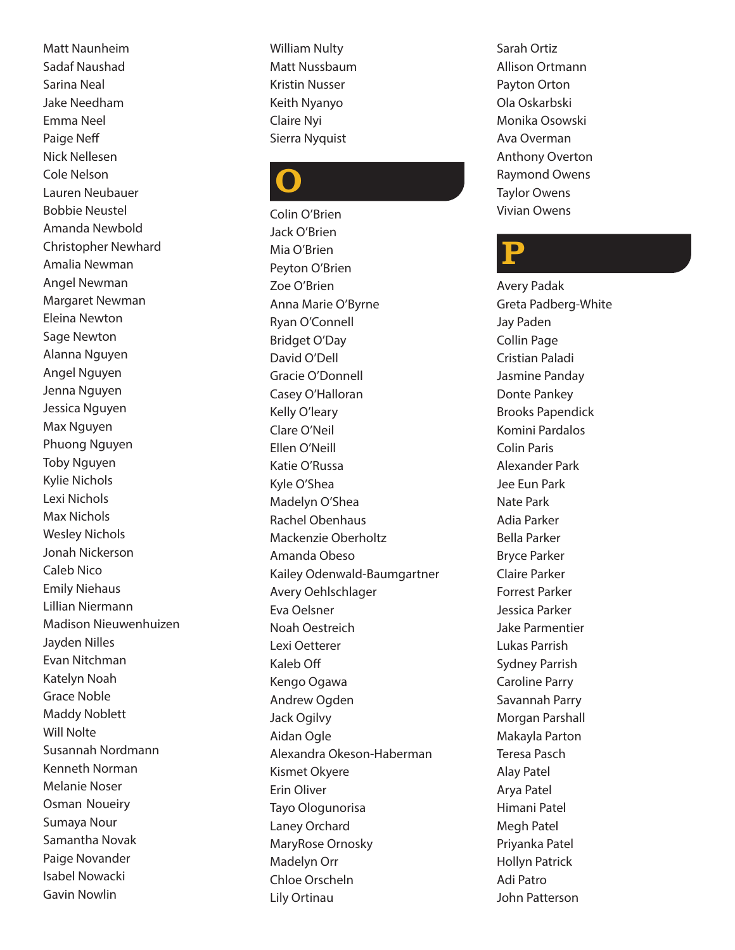Matt Naunheim Sadaf Naushad Sarina Neal Jake Needham Emma Neel Paige Neff Nick Nellesen Cole Nelson Lauren Neubauer Bobbie Neustel Amanda Newbold Christopher Newhard Amalia Newman Angel Newman Margaret Newman Eleina Newton Sage Newton Alanna Nguyen Angel Nguyen Jenna Nguyen Jessica Nguyen Max Nguyen Phuong Nguyen Toby Nguyen Kylie Nichols Lexi Nichols Max Nichols Wesley Nichols Jonah Nickerson Caleb Nico Emily Niehaus Lillian Niermann Madison Nieuwenhuizen Jayden Nilles Evan Nitchman Katelyn Noah Grace Noble Maddy Noblett Will Nolte Susannah Nordmann Kenneth Norman Melanie Noser Osman Noueiry Sumaya Nour Samantha Novak Paige Novander Isabel Nowacki Gavin Nowlin

William Nulty Matt Nussbaum Kristin Nusser Keith Nyanyo Claire Nyi Sierra Nyquist

# O

Colin O'Brien Jack O'Brien Mia O'Brien Peyton O'Brien Zoe O'Brien Anna Marie O'Byrne Ryan O'Connell Bridget O'Day David O'Dell Gracie O'Donnell Casey O'Halloran Kelly O'leary Clare O'Neil Ellen O'Neill Katie O'Russa Kyle O'Shea Madelyn O'Shea Rachel Obenhaus Mackenzie Oberholtz Amanda Obeso Kailey Odenwald-Baumgartner Avery Oehlschlager Eva Oelsner Noah Oestreich Lexi Oetterer Kaleb Off Kengo Ogawa Andrew Ogden Jack Ogilvy Aidan Ogle Alexandra Okeson-Haberman Kismet Okyere Erin Oliver Tayo Ologunorisa Laney Orchard MaryRose Ornosky Madelyn Orr Chloe Orscheln Lily Ortinau

Sarah Ortiz Allison Ortmann Payton Orton Ola Oskarbski Monika Osowski Ava Overman Anthony Overton Raymond Owens Taylor Owens Vivian Owens

#### P

Avery Padak Greta Padberg-White Jay Paden Collin Page Cristian Paladi Jasmine Panday Donte Pankey Brooks Papendick Komini Pardalos Colin Paris Alexander Park Jee Eun Park Nate Park Adia Parker Bella Parker Bryce Parker Claire Parker Forrest Parker Jessica Parker Jake Parmentier Lukas Parrish Sydney Parrish Caroline Parry Savannah Parry Morgan Parshall Makayla Parton Teresa Pasch Alay Patel Arya Patel Himani Patel Megh Patel Priyanka Patel Hollyn Patrick Adi Patro John Patterson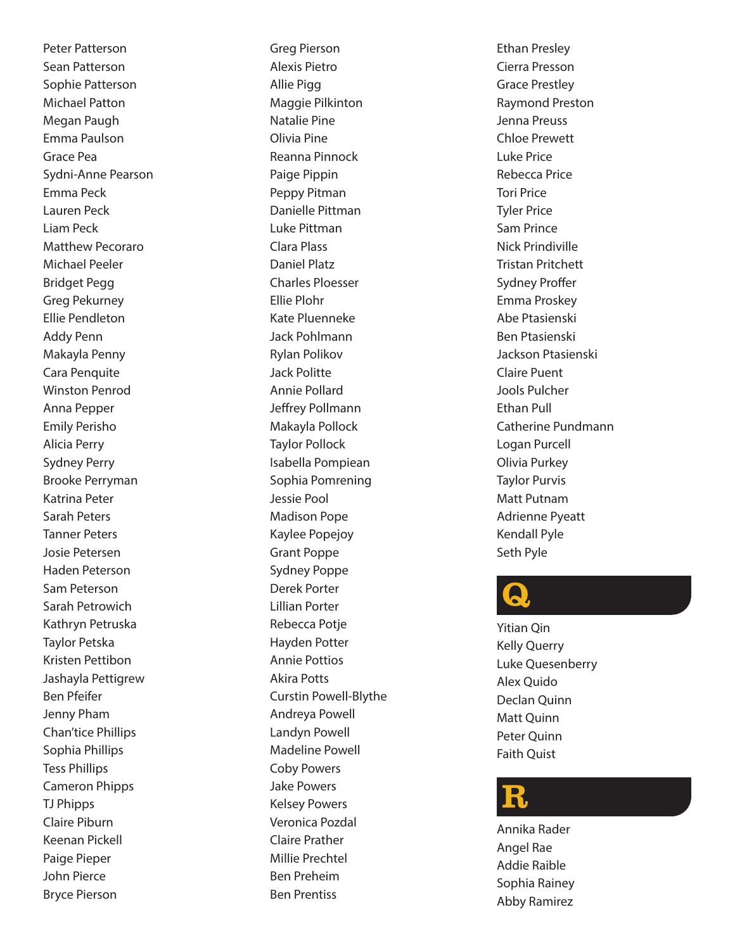Peter Patterson Sean Patterson Sophie Patterson Michael Patton Megan Paugh Emma Paulson Grace Pea Sydni-Anne Pearson Emma Peck Lauren Peck Liam Peck Matthew Pecoraro Michael Peeler Bridget Pegg Greg Pekurney Ellie Pendleton Addy Penn Makayla Penny Cara Penquite Winston Penrod Anna Pepper Emily Perisho Alicia Perry Sydney Perry Brooke Perryman Katrina Peter Sarah Peters Tanner Peters Josie Petersen Haden Peterson Sam Peterson Sarah Petrowich Kathryn Petruska Taylor Petska Kristen Pettibon Jashayla Pettigrew Ben Pfeifer Jenny Pham Chan'tice Phillips Sophia Phillips Tess Phillips Cameron Phipps TJ Phipps Claire Piburn Keenan Pickell Paige Pieper John Pierce Bryce Pierson

Greg Pierson Alexis Pietro Allie Pigg Maggie Pilkinton Natalie Pine Olivia Pine Reanna Pinnock Paige Pippin Peppy Pitman Danielle Pittman Luke Pittman Clara Plass Daniel Platz Charles Ploesser Ellie Plohr Kate Pluenneke Jack Pohlmann Rylan Polikov Jack Politte Annie Pollard Jeffrey Pollmann Makayla Pollock Taylor Pollock Isabella Pompiean Sophia Pomrening Jessie Pool Madison Pope Kaylee Popejoy Grant Poppe Sydney Poppe Derek Porter Lillian Porter Rebecca Potje Hayden Potter Annie Pottios Akira Potts Curstin Powell-Blythe Andreya Powell Landyn Powell Madeline Powell Coby Powers Jake Powers Kelsey Powers Veronica Pozdal Claire Prather Millie Prechtel Ben Preheim Ben Prentiss

Ethan Presley Cierra Presson Grace Prestley Raymond Preston Jenna Preuss Chloe Prewett Luke Price Rebecca Price Tori Price Tyler Price Sam Prince Nick Prindiville Tristan Pritchett Sydney Proffer Emma Proskey Abe Ptasienski Ben Ptasienski Jackson Ptasienski Claire Puent Jools Pulcher Ethan Pull Catherine Pundmann Logan Purcell Olivia Purkey Taylor Purvis Matt Putnam Adrienne Pyeatt Kendall Pyle Seth Pyle

#### Q)

Yitian Qin Kelly Querry Luke Quesenberry Alex Quido Declan Quinn Matt Quinn Peter Quinn Faith Quist

#### R

Annika Rader Angel Rae Addie Raible Sophia Rainey Abby Ramirez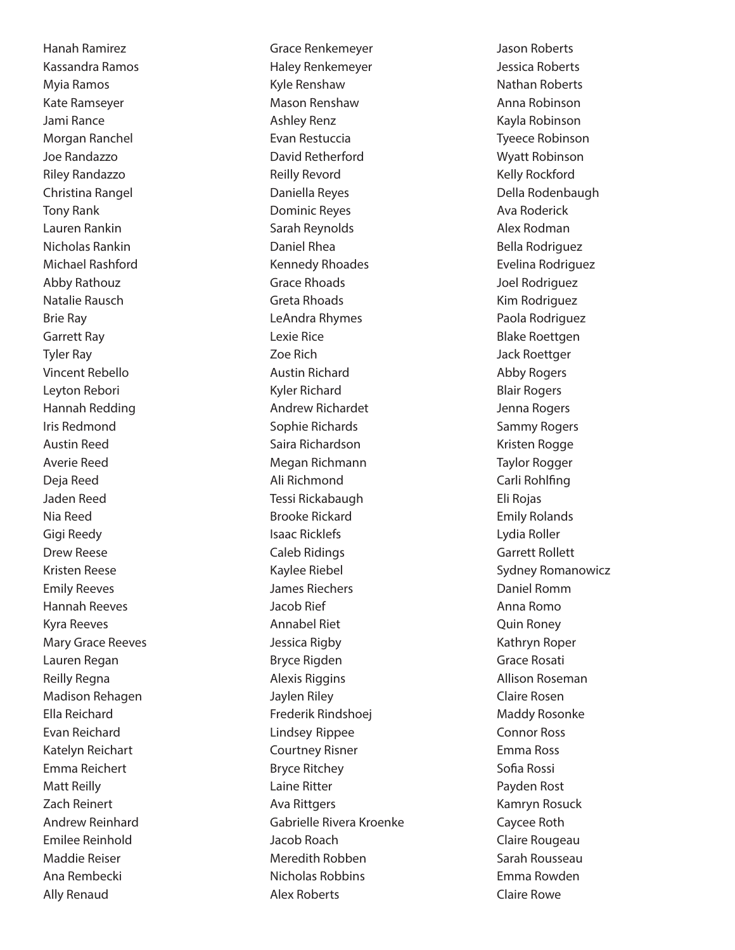Hanah Ramirez Kassandra Ramos Myia Ramos Kate Ramseyer Jami Rance Morgan Ranchel Joe Randazzo Riley Randazzo Christina Rangel Tony Rank Lauren Rankin Nicholas Rankin Michael Rashford Abby Rathouz Natalie Rausch Brie Ray Garrett Ray Tyler Ray Vincent Rebello Leyton Rebori Hannah Redding Iris Redmond Austin Reed Averie Reed Deja Reed Jaden Reed Nia Reed Gigi Reedy Drew Reese Kristen Reese Emily Reeves Hannah Reeves Kyra Reeves Mary Grace Reeves Lauren Regan Reilly Regna Madison Rehagen Ella Reichard Evan Reichard Katelyn Reichart Emma Reichert Matt Reilly Zach Reinert Andrew Reinhard Emilee Reinhold Maddie Reiser Ana Rembecki Ally Renaud

Grace Renkemeyer Haley Renkemeyer Kyle Renshaw Mason Renshaw Ashley Renz Evan Restuccia David Retherford Reilly Revord Daniella Reyes Dominic Reyes Sarah Reynolds Daniel Rhea Kennedy Rhoades Grace Rhoads Greta Rhoads LeAndra Rhymes Lexie Rice Zoe Rich Austin Richard Kyler Richard Andrew Richardet Sophie Richards Saira Richardson Megan Richmann Ali Richmond Tessi Rickabaugh Brooke Rickard Isaac Ricklefs Caleb Ridings Kaylee Riebel James Riechers Jacob Rief Annabel Riet Jessica Rigby Bryce Rigden Alexis Riggins Jaylen Riley Frederik Rindshoej Lindsey Rippee Courtney Risner Bryce Ritchey Laine Ritter Ava Rittgers Gabrielle Rivera Kroenke Jacob Roach Meredith Robben Nicholas Robbins Alex Roberts

Jason Roberts Jessica Roberts Nathan Roberts Anna Robinson Kayla Robinson Tyeece Robinson Wyatt Robinson Kelly Rockford Della Rodenbaugh Ava Roderick Alex Rodman Bella Rodriguez Evelina Rodriguez Joel Rodriguez Kim Rodriguez Paola Rodriguez Blake Roettgen Jack Roettger Abby Rogers Blair Rogers Jenna Rogers Sammy Rogers Kristen Rogge Taylor Rogger Carli Rohlfing Eli Rojas Emily Rolands Lydia Roller Garrett Rollett Sydney Romanowicz Daniel Romm Anna Romo Quin Roney Kathryn Roper Grace Rosati Allison Roseman Claire Rosen Maddy Rosonke Connor Ross Emma Ross Sofia Rossi Payden Rost Kamryn Rosuck Caycee Roth Claire Rougeau Sarah Rousseau Emma Rowden Claire Rowe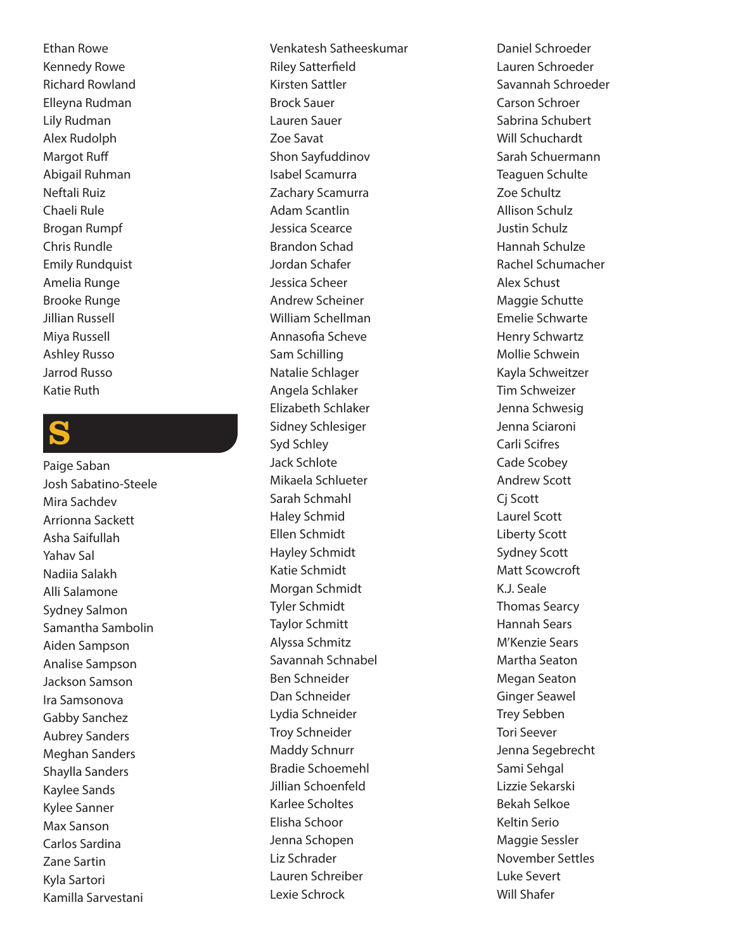Ethan Rowe Kennedy Rowe Richard Rowland Elleyna Rudman Lily Rudman Alex Rudolph Margot Ruff Abigail Ruhman Neftali Ruiz Chaeli Rule Brogan Rumpf Chris Rundle Emily Rundquist Amelia Runge Brooke Runge Jillian Russell Miya Russell Ashley Russo Jarrod Russo Katie Ruth

#### S

Paige Saban Josh Sabatino-Steele Mira Sachdev Arrionna Sackett Asha Saifullah Yahav Sal Nadiia Salakh Alli Salamone Sydney Salmon Samantha Sambolin Aiden Sampson Analise Sampson Jackson Samson Ira Samsonova Gabby Sanchez Aubrey Sanders Meghan Sanders Shaylla Sanders Kaylee Sands Kylee Sanner Max Sanson Carlos Sardina Zane Sartin Kyla Sartori Kamilla Sarvestani

Venkatesh Satheeskumar Riley Satterfield Kirsten Sattler Brock Sauer Lauren Sauer Zoe Savat Shon Sayfuddinov Isabel Scamurra Zachary Scamurra Adam Scantlin Jessica Scearce Brandon Schad Jordan Schafer Jessica Scheer Andrew Scheiner William Schellman Annasofia Scheve Sam Schilling Natalie Schlager Angela Schlaker Elizabeth Schlaker Sidney Schlesiger Syd Schley Jack Schlote Mikaela Schlueter Sarah Schmahl Haley Schmid Ellen Schmidt Hayley Schmidt Katie Schmidt Morgan Schmidt Tyler Schmidt Taylor Schmitt Alyssa Schmitz Savannah Schnabel Ben Schneider Dan Schneider Lydia Schneider Troy Schneider Maddy Schnurr Bradie Schoemehl Jillian Schoenfeld Karlee Scholtes Elisha Schoor Jenna Schopen Liz Schrader Lauren Schreiber Lexie Schrock

Daniel Schroeder Lauren Schroeder Savannah Schroeder Carson Schroer Sabrina Schubert Will Schuchardt Sarah Schuermann Teaguen Schulte Zoe Schultz Allison Schulz Justin Schulz Hannah Schulze Rachel Schumacher Alex Schust Maggie Schutte Emelie Schwarte Henry Schwartz Mollie Schwein Kayla Schweitzer Tim Schweizer Jenna Schwesig Jenna Sciaroni Carli Scifres Cade Scobey Andrew Scott Cj Scott Laurel Scott Liberty Scott Sydney Scott Matt Scowcroft K.J. Seale Thomas Searcy Hannah Sears M'Kenzie Sears Martha Seaton Megan Seaton Ginger Seawel Trey Sebben Tori Seever Jenna Segebrecht Sami Sehgal Lizzie Sekarski Bekah Selkoe Keltin Serio Maggie Sessler November Settles Luke Severt Will Shafer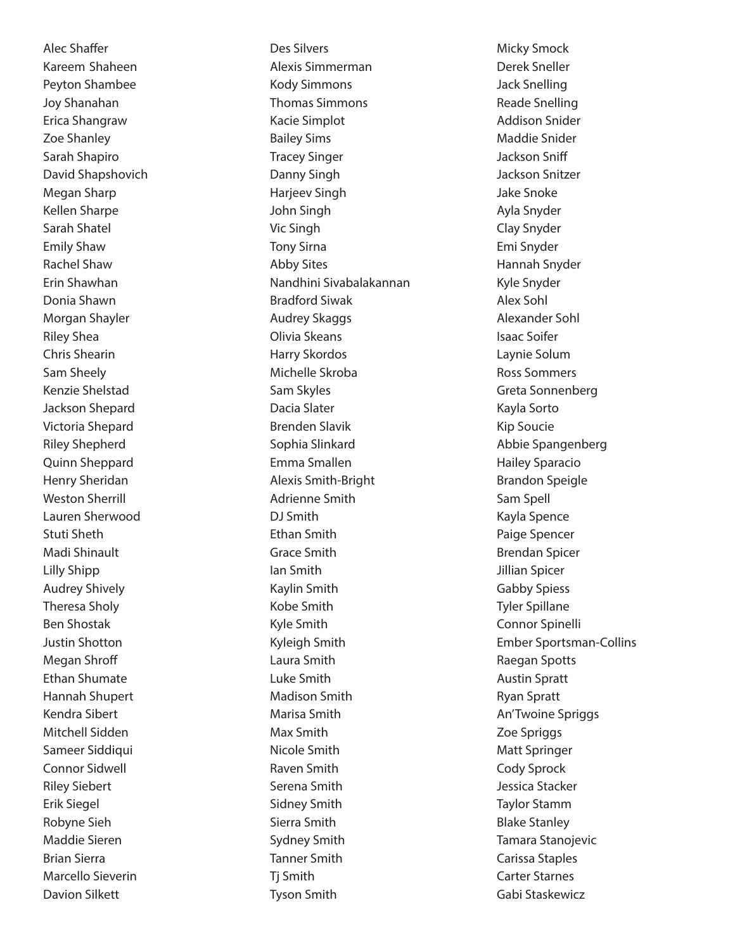Alec Shaffer Kareem Shaheen Peyton Shambee Joy Shanahan Erica Shangraw Zoe Shanley Sarah Shapiro David Shapshovich Megan Sharp Kellen Sharpe Sarah Shatel Emily Shaw Rachel Shaw Erin Shawhan Donia Shawn Morgan Shayler Riley Shea Chris Shearin Sam Sheely Kenzie Shelstad Jackson Shepard Victoria Shepard Riley Shepherd Quinn Sheppard Henry Sheridan Weston Sherrill Lauren Sherwood Stuti Sheth Madi Shinault Lilly Shipp Audrey Shively Theresa Sholy Ben Shostak Justin Shotton Megan Shroff Ethan Shumate Hannah Shupert Kendra Sibert Mitchell Sidden Sameer Siddiqui Connor Sidwell Riley Siebert Erik Siegel Robyne Sieh Maddie Sieren Brian Sierra Marcello Sieverin Davion Silkett

Des Silvers Alexis Simmerman Kody Simmons Thomas Simmons Kacie Simplot Bailey Sims Tracey Singer Danny Singh Harjeev Singh John Singh Vic Singh Tony Sirna Abby Sites Nandhini Sivabalakannan Bradford Siwak Audrey Skaggs Olivia Skeans Harry Skordos Michelle Skroba Sam Skyles Dacia Slater Brenden Slavik Sophia Slinkard Emma Smallen Alexis Smith-Bright Adrienne Smith DJ Smith Ethan Smith Grace Smith Ian Smith Kaylin Smith Kobe Smith Kyle Smith Kyleigh Smith Laura Smith Luke Smith Madison Smith Marisa Smith Max Smith Nicole Smith Raven Smith Serena Smith Sidney Smith Sierra Smith Sydney Smith Tanner Smith Tj Smith Tyson Smith

Micky Smock Derek Sneller Jack Snelling Reade Snelling Addison Snider Maddie Snider Jackson Sniff Jackson Snitzer Jake Snoke Ayla Snyder Clay Snyder Emi Snyder Hannah Snyder Kyle Snyder Alex Sohl Alexander Sohl Isaac Soifer Laynie Solum Ross Sommers Greta Sonnenberg Kayla Sorto Kip Soucie Abbie Spangenberg Hailey Sparacio Brandon Speigle Sam Spell Kayla Spence Paige Spencer Brendan Spicer Jillian Spicer Gabby Spiess Tyler Spillane Connor Spinelli Ember Sportsman-Collins Raegan Spotts Austin Spratt Ryan Spratt An'Twoine Spriggs Zoe Spriggs Matt Springer Cody Sprock Jessica Stacker Taylor Stamm Blake Stanley Tamara Stanojevic Carissa Staples Carter Starnes Gabi Staskewicz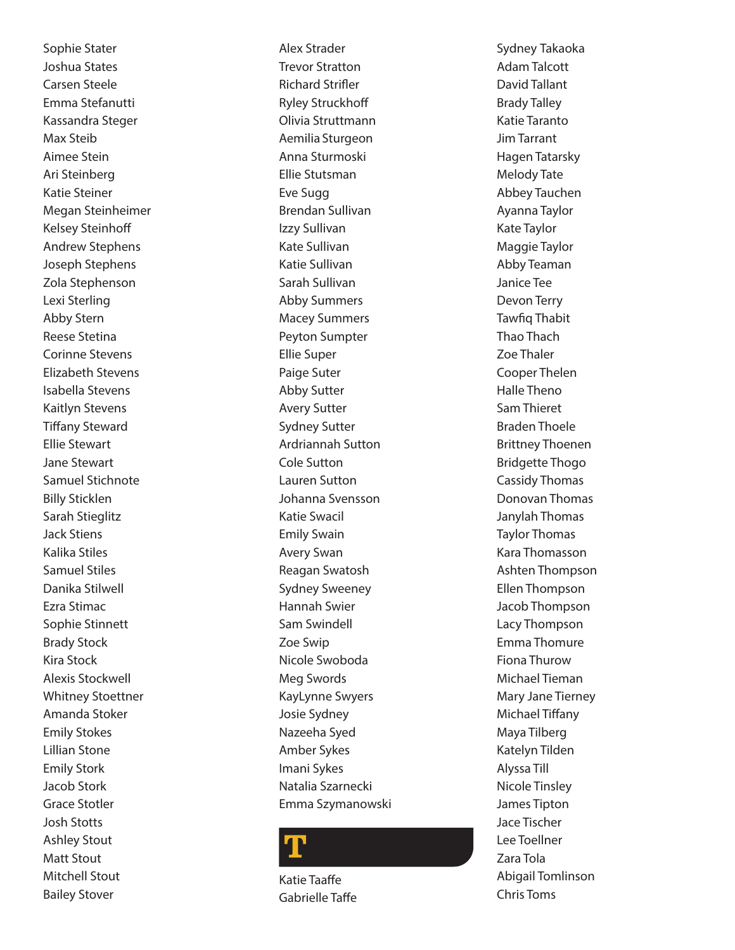Sophie Stater Joshua States Carsen Steele Emma Stefanutti Kassandra Steger Max Steib Aimee Stein Ari Steinberg Katie Steiner Megan Steinheimer Kelsey Steinhoff Andrew Stephens Joseph Stephens Zola Stephenson Lexi Sterling Abby Stern Reese Stetina Corinne Stevens Elizabeth Stevens Isabella Stevens Kaitlyn Stevens Tiffany Steward Ellie Stewart Jane Stewart Samuel Stichnote Billy Sticklen Sarah Stieglitz Jack Stiens Kalika Stiles Samuel Stiles Danika Stilwell Ezra Stimac Sophie Stinnett Brady Stock Kira Stock Alexis Stockwell Whitney Stoettner Amanda Stoker Emily Stokes Lillian Stone Emily Stork Jacob Stork Grace Stotler Josh Stotts Ashley Stout Matt Stout Mitchell Stout Bailey Stover

Alex Strader Trevor Stratton Richard Strifler Ryley Struckhoff Olivia Struttmann Aemilia Sturgeon Anna Sturmoski Ellie Stutsman Eve Sugg Brendan Sullivan Izzy Sullivan Kate Sullivan Katie Sullivan Sarah Sullivan Abby Summers Macey Summers Peyton Sumpter Ellie Super Paige Suter Abby Sutter Avery Sutter Sydney Sutter Ardriannah Sutton Cole Sutton Lauren Sutton Johanna Svensson Katie Swacil Emily Swain Avery Swan Reagan Swatosh Sydney Sweeney Hannah Swier Sam Swindell Zoe Swip Nicole Swoboda Meg Swords KayLynne Swyers Josie Sydney Nazeeha Syed Amber Sykes Imani Sykes Natalia Szarnecki Emma Szymanowski

# T

Katie Taaffe Gabrielle Taffe

Sydney Takaoka Adam Talcott David Tallant Brady Talley Katie Taranto Jim Tarrant Hagen Tatarsky Melody Tate Abbey Tauchen Ayanna Taylor Kate Taylor Maggie Taylor Abby Teaman Janice Tee Devon Terry Tawfiq Thabit Thao Thach Zoe Thaler Cooper Thelen Halle Theno Sam Thieret Braden Thoele Brittney Thoenen Bridgette Thogo Cassidy Thomas Donovan Thomas Janylah Thomas Taylor Thomas Kara Thomasson Ashten Thompson Ellen Thompson Jacob Thompson Lacy Thompson Emma Thomure Fiona Thurow Michael Tieman Mary Jane Tierney Michael Tiffany Maya Tilberg Katelyn Tilden Alyssa Till Nicole Tinsley James Tipton Jace Tischer Lee Toellner Zara Tola Abigail Tomlinson Chris Toms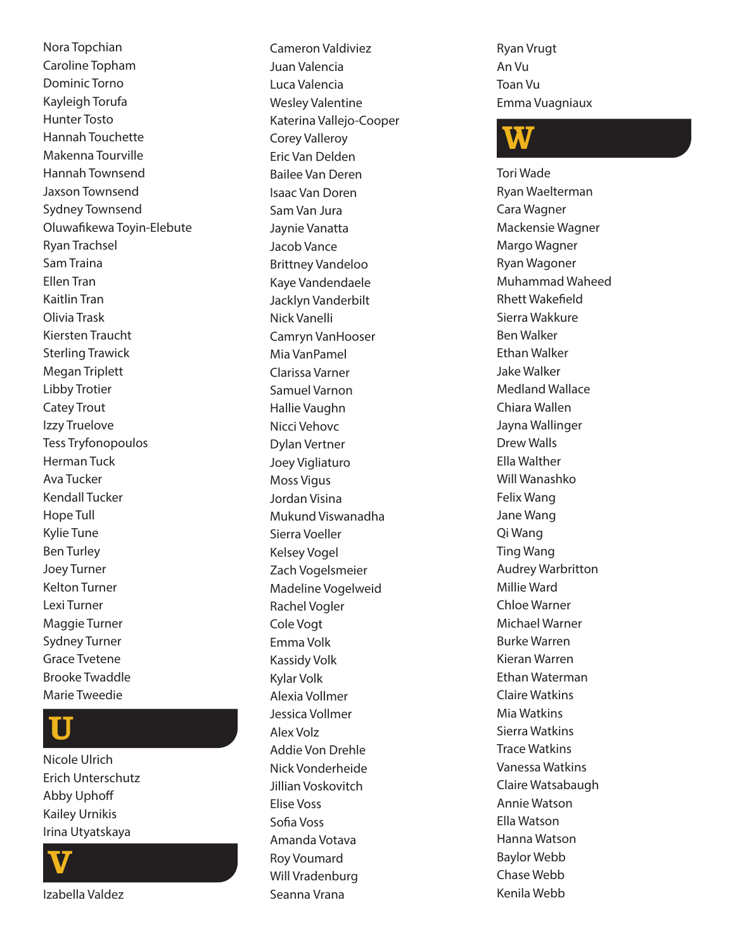Nora Topchian Caroline Topham Dominic Torno Kayleigh Torufa Hunter Tosto Hannah Touchette Makenna Tourville Hannah Townsend Jaxson Townsend Sydney Townsend Oluwafikewa Toyin-Elebute Ryan Trachsel Sam Traina Ellen Tran Kaitlin Tran Olivia Trask Kiersten Traucht Sterling Trawick Megan Triplett Libby Trotier Catey Trout Izzy Truelove Tess Tryfonopoulos Herman Tuck Ava Tucker Kendall Tucker Hope Tull Kylie Tune Ben Turley Joey Turner Kelton Turner Lexi Turner Maggie Turner Sydney Turner Grace Tvetene Brooke Twaddle Marie Tweedie

# U

Nicole Ulrich Erich Unterschutz Abby Uphoff Kailey Urnikis Irina Utyatskaya



Izabella Valdez

Cameron Valdiviez Juan Valencia Luca Valencia Wesley Valentine Katerina Vallejo-Cooper Corey Valleroy Eric Van Delden Bailee Van Deren Isaac Van Doren Sam Van Jura Jaynie Vanatta Jacob Vance Brittney Vandeloo Kaye Vandendaele Jacklyn Vanderbilt Nick Vanelli Camryn VanHooser Mia VanPamel Clarissa Varner Samuel Varnon Hallie Vaughn Nicci Vehovc Dylan Vertner Joey Vigliaturo Moss Vigus Jordan Visina Mukund Viswanadha Sierra Voeller Kelsey Vogel Zach Vogelsmeier Madeline Vogelweid Rachel Vogler Cole Vogt Emma Volk Kassidy Volk Kylar Volk Alexia Vollmer Jessica Vollmer Alex Volz Addie Von Drehle Nick Vonderheide Jillian Voskovitch Elise Voss Sofia Voss Amanda Votava Roy Voumard Will Vradenburg

Seanna Vrana

Ryan Vrugt An Vu Toan Vu Emma Vuagniaux

# W

Tori Wade Ryan Waelterman Cara Wagner Mackensie Wagner Margo Wagner Ryan Wagoner Muhammad Waheed Rhett Wakefield Sierra Wakkure Ben Walker Ethan Walker Jake Walker Medland Wallace Chiara Wallen Jayna Wallinger Drew Walls Ella Walther Will Wanashko Felix Wang Jane Wang Qi Wang Ting Wang Audrey Warbritton Millie Ward Chloe Warner Michael Warner Burke Warren Kieran Warren Ethan Waterman Claire Watkins Mia Watkins Sierra Watkins Trace Watkins Vanessa Watkins Claire Watsabaugh Annie Watson Ella Watson Hanna Watson Baylor Webb Chase Webb Kenila Webb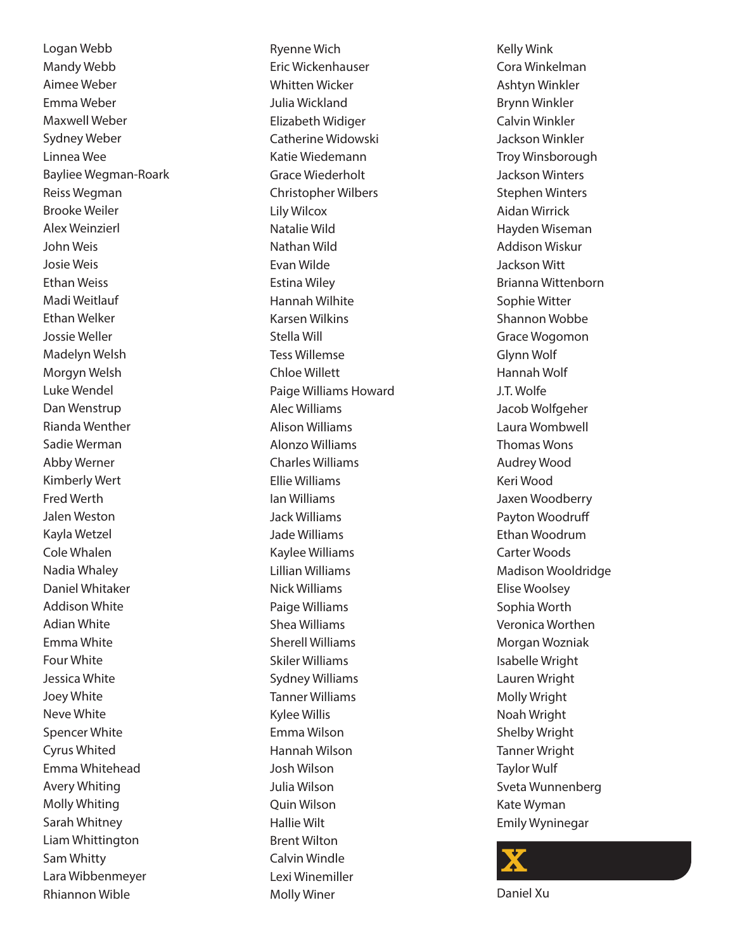Logan Webb Mandy Webb Aimee Weber Emma Weber Maxwell Weber Sydney Weber Linnea Wee Bayliee Wegman-Roark Reiss Wegman Brooke Weiler Alex Weinzierl John Weis Josie Weis Ethan Weiss Madi Weitlauf Ethan Welker Jossie Weller Madelyn Welsh Morgyn Welsh Luke Wendel Dan Wenstrup Rianda Wenther Sadie Werman Abby Werner Kimberly Wert Fred Werth Jalen Weston Kayla Wetzel Cole Whalen Nadia Whaley Daniel Whitaker Addison White Adian White Emma White Four White Jessica White Joey White Neve White Spencer White Cyrus Whited Emma Whitehead Avery Whiting Molly Whiting Sarah Whitney Liam Whittington Sam Whitty Lara Wibbenmeyer Rhiannon Wible

Ryenne Wich Eric Wickenhauser Whitten Wicker Julia Wickland Elizabeth Widiger Catherine Widowski Katie Wiedemann Grace Wiederholt Christopher Wilbers Lily Wilcox Natalie Wild Nathan Wild Evan Wilde Estina Wiley Hannah Wilhite Karsen Wilkins Stella Will Tess Willemse Chloe Willett Paige Williams Howard Alec Williams Alison Williams Alonzo Williams Charles Williams Ellie Williams Ian Williams Jack Williams Jade Williams Kaylee Williams Lillian Williams Nick Williams Paige Williams Shea Williams Sherell Williams Skiler Williams Sydney Williams Tanner Williams Kylee Willis Emma Wilson Hannah Wilson Josh Wilson Julia Wilson Quin Wilson Hallie Wilt Brent Wilton Calvin Windle Lexi Winemiller Molly Winer

Kelly Wink Cora Winkelman Ashtyn Winkler Brynn Winkler Calvin Winkler Jackson Winkler Troy Winsborough Jackson Winters Stephen Winters Aidan Wirrick Hayden Wiseman Addison Wiskur Jackson Witt Brianna Wittenborn Sophie Witter Shannon Wobbe Grace Wogomon Glynn Wolf Hannah Wolf J.T. Wolfe Jacob Wolfgeher Laura Wombwell Thomas Wons Audrey Wood Keri Wood Jaxen Woodberry Payton Woodruff Ethan Woodrum Carter Woods Madison Wooldridge Elise Woolsey Sophia Worth Veronica Worthen Morgan Wozniak Isabelle Wright Lauren Wright Molly Wright Noah Wright Shelby Wright Tanner Wright Taylor Wulf Sveta Wunnenberg Kate Wyman Emily Wyninegar



Daniel Xu